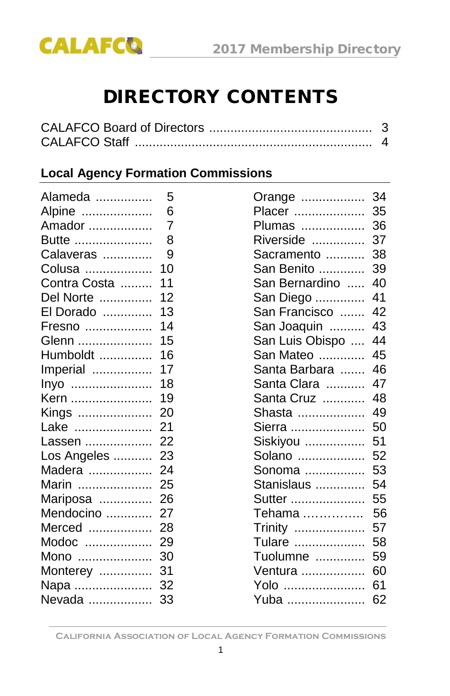

# DIRECTORY CONTENTS

| <b>CALAFCO Staff</b> |  |
|----------------------|--|

#### **Local Agency Formation Commissions**

| Alameda      | 5  | Orange          | 34 |
|--------------|----|-----------------|----|
| Alpine       | 6  | Placer          | 35 |
| Amador       | 7  | Plumas          | 36 |
| Butte        | 8  | Riverside       | 37 |
| Calaveras    | 9  | Sacramento      | 38 |
| Colusa       | 10 | San Benito      | 39 |
| Contra Costa | 11 | San Bernardino  | 40 |
| Del Norte    | 12 | San Diego       | 41 |
| El Dorado    | 13 | San Francisco   | 42 |
| Fresno       | 14 | San Joaquin     | 43 |
| Glenn        | 15 | San Luis Obispo | 44 |
| Humboldt     | 16 | San Mateo       | 45 |
| Imperial     | 17 | Santa Barbara   | 46 |
| Inyo         | 18 | Santa Clara     | 47 |
| Kern         | 19 | Santa Cruz      | 48 |
| Kings        | 20 | Shasta          | 49 |
| Lake         | 21 | Sierra          | 50 |
| Lassen       | 22 | Siskiyou        | 51 |
| Los Angeles  | 23 | Solano          | 52 |
| Madera       | 24 | Sonoma          | 53 |
| Marin        | 25 | Stanislaus      | 54 |
| Mariposa     | 26 | Sutter          | 55 |
| Mendocino    | 27 | Tehama          | 56 |
| Merced       | 28 | Trinity         | 57 |
| Modoc        | 29 | Tulare          | 58 |
| Mono         | 30 | Tuolumne        | 59 |
| Monterey     | 31 | Ventura         | 60 |
| Napa         | 32 |                 | 61 |
| Nevada       | 33 | Yuba            | 62 |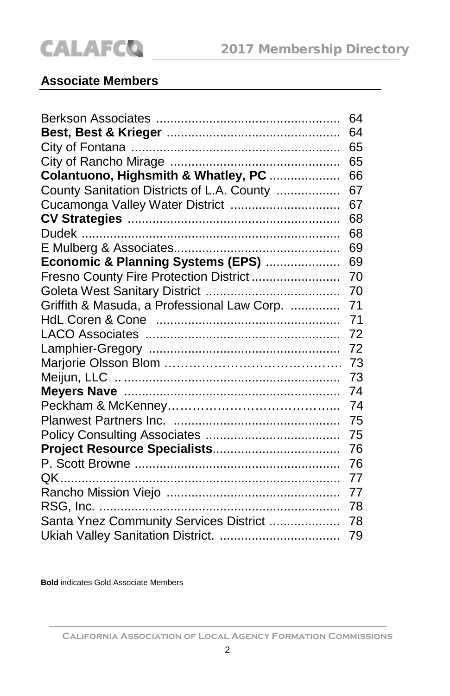#### **Associate Members**

|                                             | 64 |
|---------------------------------------------|----|
|                                             | 64 |
|                                             | 65 |
|                                             | 65 |
| Colantuono, Highsmith & Whatley, PC         | 66 |
| County Sanitation Districts of L.A. County  | 67 |
| Cucamonga Valley Water District             | 67 |
|                                             | 68 |
|                                             | 68 |
|                                             | 69 |
| Economic & Planning Systems (EPS)           | 69 |
| Fresno County Fire Protection District      | 70 |
|                                             | 70 |
| Griffith & Masuda, a Professional Law Corp. | 71 |
|                                             | 71 |
|                                             | 72 |
|                                             | 72 |
|                                             | 73 |
|                                             | 73 |
|                                             | 74 |
|                                             | 74 |
|                                             | 75 |
|                                             | 75 |
|                                             | 76 |
|                                             | 76 |
|                                             | 77 |
|                                             | 77 |
|                                             | 78 |
| Santa Ynez Community Services District      | 78 |
|                                             | 79 |

**Bold** indicates Gold Associate Members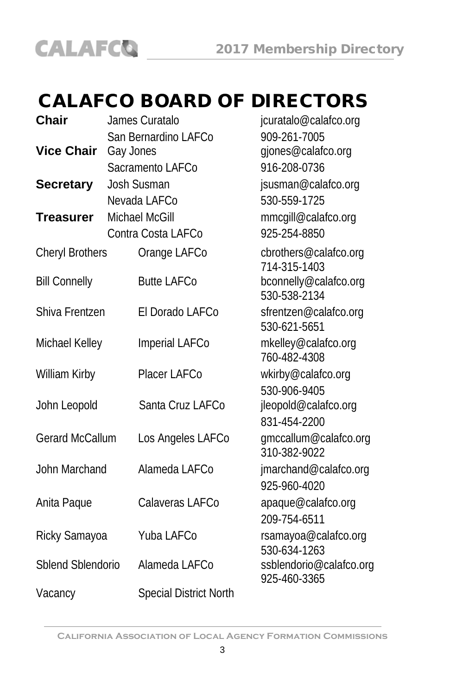# CALAFCO BOARD OF DIRECTORS

|                                        | jcuratalo@calafco.org                                                                                |
|----------------------------------------|------------------------------------------------------------------------------------------------------|
| San Bernardino LAFCo                   | 909-261-7005                                                                                         |
| Gay Jones                              | gjones@calafco.org                                                                                   |
| Sacramento LAFCo                       | 916-208-0736                                                                                         |
| Josh Susman                            | jsusman@calafco.org                                                                                  |
| Nevada LAFCo                           | 530-559-1725                                                                                         |
| Michael McGill                         | mmcgill@calafco.org                                                                                  |
| Contra Costa LAFCo                     | 925-254-8850                                                                                         |
| <b>Cheryl Brothers</b><br>Orange LAFCo | cbrothers@calafco.org<br>714-315-1403                                                                |
| <b>Butte LAFCo</b>                     | bconnelly@calafco.org<br>530-538-2134                                                                |
| Shiva Frentzen<br>El Dorado LAFCo      | sfrentzen@calafco.org<br>530-621-5651                                                                |
| Michael Kelley<br>Imperial LAFCo       | mkelley@calafco.org<br>760-482-4308                                                                  |
| Placer LAFCo                           | wkirby@calafco.org                                                                                   |
|                                        | 530-906-9405                                                                                         |
|                                        | jleopold@calafco.org<br>831-454-2200                                                                 |
|                                        |                                                                                                      |
|                                        | gmccallum@calafco.org<br>310-382-9022                                                                |
| John Marchand<br>Alameda LAFCo         | jmarchand@calafco.org<br>925-960-4020                                                                |
|                                        |                                                                                                      |
|                                        | apaque@calafco.org<br>209-754-6511                                                                   |
| Yuba LAFCo<br>Ricky Samayoa            | rsamayoa@calafco.org<br>530-634-1263                                                                 |
| Sblend Sblendorio<br>Alameda LAFCo     | ssblendorio@calafco.org<br>925-460-3365                                                              |
| <b>Special District North</b>          |                                                                                                      |
|                                        | James Curatalo<br>Santa Cruz LAFCo<br><b>Gerard McCallum</b><br>Los Angeles LAFCo<br>Calaveras LAFCo |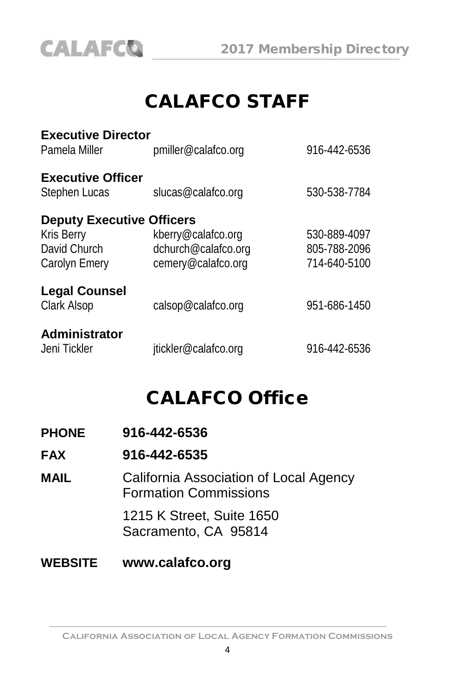

# CALAFCO STAFF

| <b>Executive Director</b><br>Pamela Miller                                      | pmiller@calafco.org                                             | 916-442-6536                                 |
|---------------------------------------------------------------------------------|-----------------------------------------------------------------|----------------------------------------------|
| <b>Executive Officer</b><br><b>Stephen Lucas</b>                                | slucas@calafco.org                                              | 530-538-7784                                 |
| <b>Deputy Executive Officers</b><br>Kris Berry<br>David Church<br>Carolyn Emery | kberry@calafco.org<br>dchurch@calafco.org<br>cemery@calafco.org | 530-889-4097<br>805-788-2096<br>714-640-5100 |
| <b>Legal Counsel</b><br>Clark Alsop                                             | calsop@calafco.org                                              | 951-686-1450                                 |
| <b>Administrator</b><br>Jeni Tickler                                            | jtickler@calafco.org                                            | 916-442-6536                                 |

# CALAFCO Office

| <b>PHONE</b>   | 916-442-6536                                                           |
|----------------|------------------------------------------------------------------------|
| <b>FAX</b>     | 916-442-6535                                                           |
| MAIL           | California Association of Local Agency<br><b>Formation Commissions</b> |
|                | 1215 K Street, Suite 1650<br>Sacramento, CA 95814                      |
| <b>WEBSITE</b> | www.calafco.org                                                        |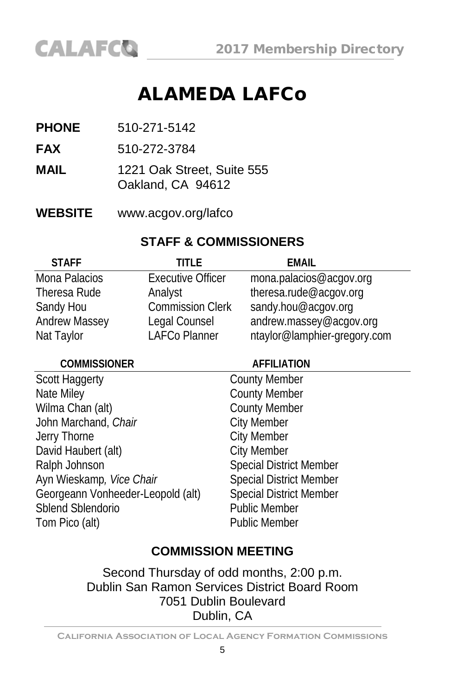# ALAMEDA LAFCo

- **PHONE** 510-271-5142
- **FAX** 510-272-3784
- **MAIL** 1221 Oak Street, Suite 555 Oakland, CA 94612
- **WEBSITE** www.acgov.org/lafco

#### **STAFF & COMMISSIONERS**

| <b>STAFF</b>         | TITI F                   | EMAIL                        |
|----------------------|--------------------------|------------------------------|
| Mona Palacios        | <b>Executive Officer</b> | mona.palacios@acgov.org      |
| Theresa Rude         | Analyst                  | theresa.rude@acgov.org       |
| Sandy Hou            | <b>Commission Clerk</b>  | sandy.hou@acqov.org          |
| <b>Andrew Massey</b> | Legal Counsel            | andrew.massey@acgov.org      |
| Nat Taylor           | <b>LAFCo Planner</b>     | ntaylor@lamphier-gregory.com |

| <b>COMMISSIONER</b>               | <b>AFFILIATION</b>             |
|-----------------------------------|--------------------------------|
| <b>Scott Haggerty</b>             | <b>County Member</b>           |
| Nate Miley                        | <b>County Member</b>           |
| Wilma Chan (alt)                  | <b>County Member</b>           |
| John Marchand, Chair              | <b>City Member</b>             |
| Jerry Thorne                      | <b>City Member</b>             |
| David Haubert (alt)               | <b>City Member</b>             |
| Ralph Johnson                     | <b>Special District Member</b> |
| Ayn Wieskamp, Vice Chair          | <b>Special District Member</b> |
| Georgeann Vonheeder-Leopold (alt) | <b>Special District Member</b> |
| Sblend Sblendorio                 | <b>Public Member</b>           |
| Tom Pico (alt)                    | <b>Public Member</b>           |
|                                   |                                |

#### **COMMISSION MEETING**

Second Thursday of odd months, 2:00 p.m. Dublin San Ramon Services District Board Room 7051 Dublin Boulevard Dublin, CA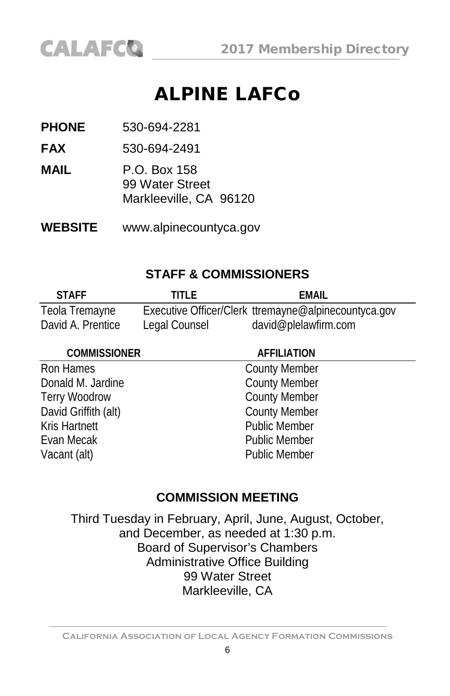# ALPINE LAFCo

**PHONE** 530-694-2281

**FAX** 530-694-2491

**MAIL** P.O. Box 158 99 Water Street Markleeville, CA 96120

**WEBSITE** [www.alpinecountyca.gov](http://www.alpinecountyca.gov/)

#### **STAFF & COMMISSIONERS**

| <b>STAFF</b>      | TITI F        | FMAIL                                                |
|-------------------|---------------|------------------------------------------------------|
| Teola Tremayne    |               | Executive Officer/Clerk ttremayne@alpinecountyca.gov |
| David A. Prentice | Legal Counsel | david@plelawfirm.com                                 |

#### **COMMISSIONER AFFILIATION**

Ron Hames County Member Donald M. Jardine County Member Terry Woodrow County Member David Griffith (alt) County Member Kris Hartnett Public Member Evan Mecak **Public Member** Vacant (alt) **Public Member** 

## **COMMISSION MEETING**

Third Tuesday in February, April, June, August, October, and December, as needed at 1:30 p.m. Board of Supervisor's Chambers Administrative Office Building 99 Water Street Markleeville, CA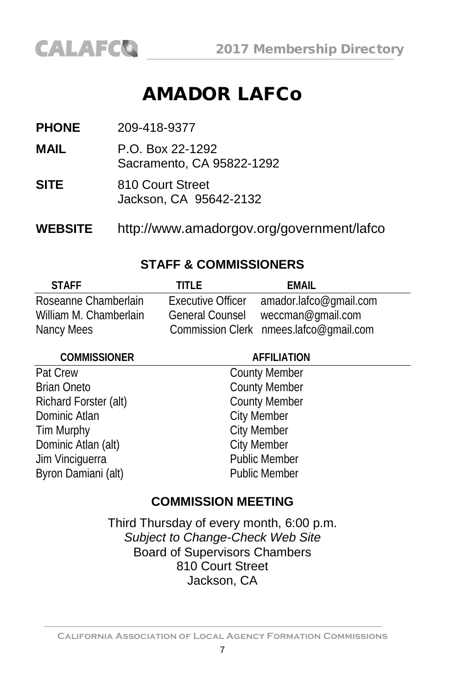# AMADOR LAFCo

**PHONE** 209-418-9377

**MAIL** P.O. Box 22-1292 Sacramento, CA 95822-1292

**SITE** 810 Court Street Jackson, CA 95642-2132

**WEBSITE** http://www.amadorgov.org/government/lafco

#### **STAFF & COMMISSIONERS**

| <b>STAFF</b>           | TITI F                 | FMAIL                                  |
|------------------------|------------------------|----------------------------------------|
| Roseanne Chamberlain   | Executive Officer      | amador.lafco@qmail.com                 |
| William M. Chamberlain | <b>General Counsel</b> | weccman@gmail.com                      |
| Nancy Mees             |                        | Commission Clerk nmees.lafco@gmail.com |

| <b>COMMISSIONER</b>   | <b>AFFILIATION</b>   |
|-----------------------|----------------------|
| Pat Crew              | <b>County Member</b> |
| <b>Brian Oneto</b>    | <b>County Member</b> |
| Richard Forster (alt) | <b>County Member</b> |
| Dominic Atlan         | <b>City Member</b>   |
| Tim Murphy            | <b>City Member</b>   |
| Dominic Atlan (alt)   | <b>City Member</b>   |
| Jim Vinciguerra       | Public Member        |
| Byron Damiani (alt)   | <b>Public Member</b> |
|                       |                      |

#### **COMMISSION MEETING**

Third Thursday of every month, 6:00 p.m. *Subject to Change-Check Web Site* Board of Supervisors Chambers 810 Court Street Jackson, CA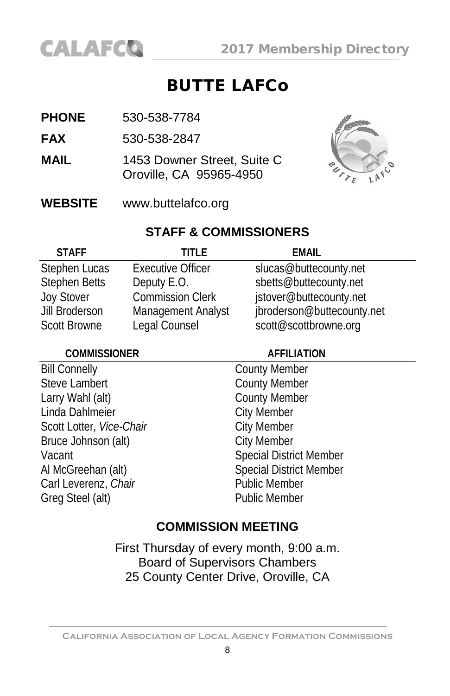

## BUTTE LAFCo

- **PHONE** 530-538-7784
- **FAX** 530-538-2847
- **MAIL** 1453 Downer Street, Suite C Oroville, CA 95965-4950



**WEBSITE** [www.buttelafco.org](http://www.butelafco.org/)

#### **STAFF & COMMISSIONERS**

| <b>STAFF</b>         | TITI F                   | <b>EMAIL</b>               |
|----------------------|--------------------------|----------------------------|
| Stephen Lucas        | <b>Executive Officer</b> | slucas@buttecounty.net     |
| <b>Stephen Betts</b> | Deputy E.O.              | sbetts@buttecounty.net     |
| <b>Joy Stover</b>    | <b>Commission Clerk</b>  | jstover@buttecounty.net    |
| Jill Broderson       | Management Analyst       | jbroderson@buttecounty.net |
| <b>Scott Browne</b>  | Legal Counsel            | scott@scottbrowne.org      |

#### **COMMISSIONER AFFILIATION**

Bill Connelly County Member Steve Lambert County Member Larry Wahl (alt) County Member Linda Dahlmeier **City Member** Scott Lotter, *Vice-Chair* City Member Bruce Johnson (alt) City Member Carl Leverenz, Chair Greg Steel (alt) **Public Member** 

Vacant **Special District Member** Al McGreehan (alt) Special District Member<br>
Carl Leverenz Chair<br>
Public Member

## **COMMISSION MEETING**

First Thursday of every month, 9:00 a.m. Board of Supervisors Chambers 25 County Center Drive, Oroville, CA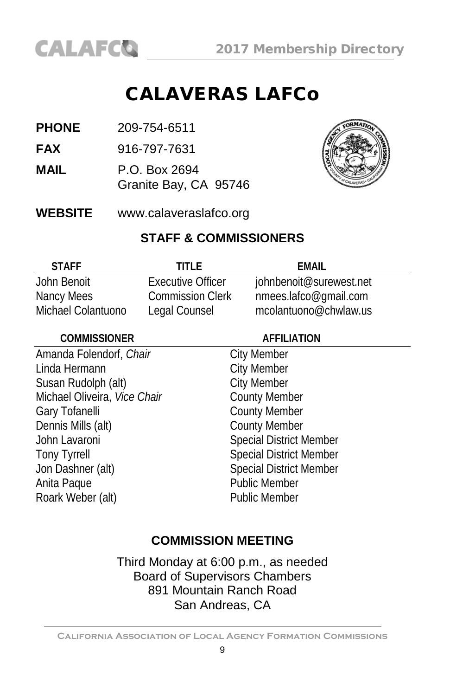# CALAVERAS LAFCo

- **PHONE** 209-754-6511
- **FAX** 916-797-7631
- **MAIL** P.O. Box 2694 Granite Bay, CA 95746



**WEBSITE** www.calaveraslafco.org

#### **STAFF & COMMISSIONERS**

| <b>STAFF</b>       | TITI F                   | FMAIL                   |
|--------------------|--------------------------|-------------------------|
| John Benoit        | <b>Executive Officer</b> | johnbenoit@surewest.net |
| Nancy Mees         | <b>Commission Clerk</b>  | nmees.lafco@gmail.com   |
| Michael Colantuono | Legal Counsel            | mcolantuono@chwlaw.us   |

#### **COMMISSIONER AFFILIATION** Amanda Folendorf, *Chair* City Member<br>
Linda Hermann<br>
City Member Linda Hermann Susan Rudolph (alt) City Member Michael Oliveira, *Vice Chair* County Member Gary Tofanelli **County Member** Dennis Mills (alt) County Member John Lavaroni Special District Member Tony Tyrrell<br>
Jon Dashner (alt) Special District Member<br>
Special District Member Special District Member<br>Public Member Anita Paque<br>
Roark Weber (alt)<br>
Public Member Roark Weber (alt)

## **COMMISSION MEETING**

Third Monday at 6:00 p.m., as needed Board of Supervisors Chambers 891 Mountain Ranch Road San Andreas, CA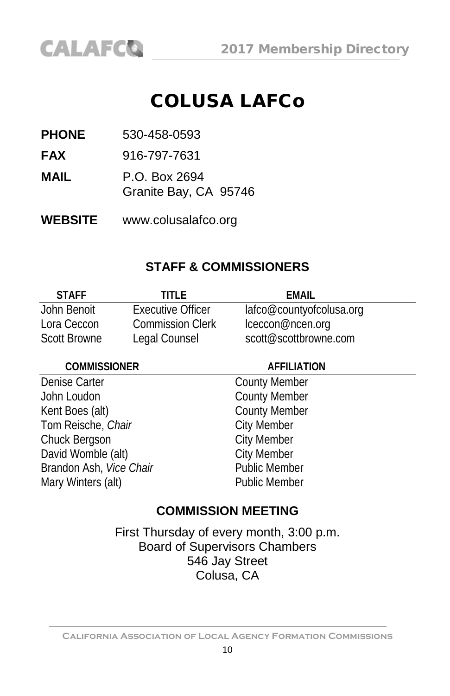# COLUSA LAFCo

**PHONE** 530-458-0593

**CALAFCO** 

**FAX** 916-797-7631

**MAIL** P.O. Box 2694 Granite Bay, CA 95746

**WEBSITE** [www.colusalafco.org](http://www.colusalafco.org/)

#### **STAFF & COMMISSIONERS**

| <b>STAFF</b>        | TITI F                  | FMAII                    |
|---------------------|-------------------------|--------------------------|
| John Benoit         | Executive Officer       | lafco@countyofcolusa.org |
| Lora Ceccon         | <b>Commission Clerk</b> | lceccon@ncen.org         |
| <b>Scott Browne</b> | Legal Counsel           | scott@scottbrowne.com    |

#### **COMMISSIONER AFFILIATION**

Denise Carter **County Member** John Loudon County Member Kent Boes (alt) County Member<br>
Tom Reische, Chair<br>
City Member Tom Reische, *Chair* **City Member**<br>
City Member<br>
City Member Chuck Bergson<br>
David Womble (alt)<br>
City Member David Womble (alt) City Member<br>
Brandon Ash Vice Chair<br>
Public Member Brandon Ash, Vice Chair Mary Winters (alt) **Public Member** 

#### **COMMISSION MEETING**

First Thursday of every month, 3:00 p.m. Board of Supervisors Chambers 546 Jay Street Colusa, CA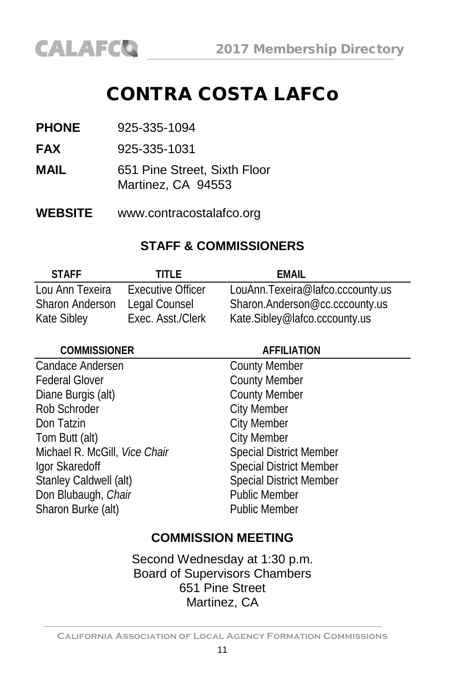# CONTRA COSTA LAFCo

| <b>PHONE</b> | 925-335-1094 |
|--------------|--------------|
|              |              |

**FAX** 925-335-1031

- **MAIL** 651 Pine Street, Sixth Floor Martinez, CA 94553
- **WEBSITE** www.contracostalafco.org

#### **STAFF & COMMISSIONERS**

| <b>STAFF</b>           | TITI F            | FMAIL                            |
|------------------------|-------------------|----------------------------------|
| Lou Ann Texeira        | Executive Officer | LouAnn.Texeira@lafco.cccounty.us |
| <b>Sharon Anderson</b> | Legal Counsel     | Sharon.Anderson@cc.cccounty.us   |
| Kate Sibley            | Exec. Asst./Clerk | Kate.Sibley@lafco.cccounty.us    |

| <b>COMMISSIONER</b>           | <b>AFFILIATION</b>             |  |
|-------------------------------|--------------------------------|--|
| Candace Andersen              | <b>County Member</b>           |  |
| <b>Federal Glover</b>         | <b>County Member</b>           |  |
| Diane Burgis (alt)            | <b>County Member</b>           |  |
| Rob Schroder                  | <b>City Member</b>             |  |
| Don Tatzin                    | <b>City Member</b>             |  |
| Tom Butt (alt)                | <b>City Member</b>             |  |
| Michael R. McGill, Vice Chair | <b>Special District Member</b> |  |
| Igor Skaredoff                | <b>Special District Member</b> |  |
| Stanley Caldwell (alt)        | <b>Special District Member</b> |  |
| Don Blubaugh, Chair           | <b>Public Member</b>           |  |
| Sharon Burke (alt)            | <b>Public Member</b>           |  |
|                               |                                |  |

#### **COMMISSION MEETING**

Second Wednesday at 1:30 p.m. Board of Supervisors Chambers 651 Pine Street Martinez, CA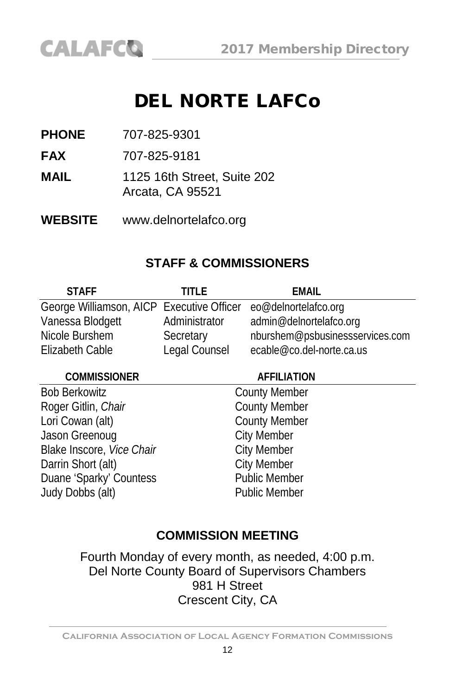

**PHONE** 707-825-9301

CALAFCO

**FAX** 707-825-9181

**MAIL** 1125 16th Street, Suite 202 Arcata, CA 95521

**WEBSITE** [www.delnortelafco.org](http://www.delnortelafco.org/)

#### **STAFF & COMMISSIONERS**

| <b>STAFF</b>                                                   | TITI F        | <b>EMAIL</b>                    |
|----------------------------------------------------------------|---------------|---------------------------------|
| George Williamson, AICP Executive Officer eo@delnortelafco.org |               |                                 |
| Vanessa Blodgett                                               | Administrator | admin@delnortelafco.org         |
| Nicole Burshem                                                 | Secretary     | nburshem@psbusinessservices.com |
| Elizabeth Cable                                                | Legal Counsel | ecable@co.del-norte.ca.us       |

**COMMISSIONER AFFILIATION**

Bob Berkowitz<br>
Roger Gitlin, *Chair*<br>
County Member Roger Gitlin, Chair Lori Cowan (alt) County Member Jason Greenoug **City Member** Blake Inscore, *Vice Chair* City Member<br>
Darrin Short (alt) City Member Darrin Short (alt) Duane 'Sparky' Countess Public Member Judy Dobbs (alt) Public Member

#### **COMMISSION MEETING**

Fourth Monday of every month, as needed, 4:00 p.m. Del Norte County Board of Supervisors Chambers 981 H Street Crescent City, CA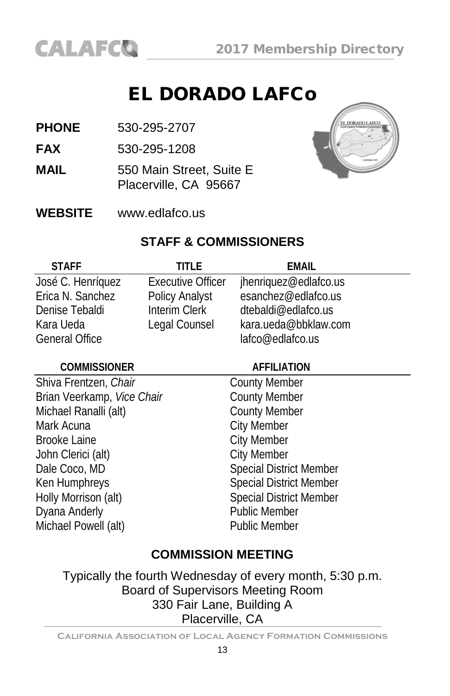# EL DORADO LAFCo

- **PHONE** 530-295-2707
- **FAX** 530-295-1208
- **MAIL** 550 Main Street, Suite E Placerville, CA 95667



**WEBSITE** [www.edlafco.us](http://www.co.el-dorado.ca.us/lafco)

#### **STAFF & COMMISSIONERS**

| <b>STAFF</b>          | TITI F                   | FMAIL                 |
|-----------------------|--------------------------|-----------------------|
| José C. Henríquez     | <b>Executive Officer</b> | jhenriquez@edlafco.us |
| Erica N. Sanchez      | Policy Analyst           | esanchez@edlafco.us   |
| Denise Tebaldi        | Interim Clerk            | dtebaldi@edlafco.us   |
| Kara Ueda             | Legal Counsel            | kara.ueda@bbklaw.com  |
| <b>General Office</b> |                          | lafco@edlafco.us      |

#### **COMMISSIONER AFFILIATION**

Shiva Frentzen, *Chair* County Member<br>
Brian Veerkamp, *Vice Chair* County Member Brian Veerkamp, *Vice Chair*<br>Michael Ranalli (alt) County Member Michael Ranalli (alt) Mark Acuna **City Member** Brooke Laine<br>
John Clerici (alt)<br>
City Member John Clerici (alt)<br>Dale Coco, MD Ken Humphreys Special District Member<br>
Holly Morrison (alt) Special District Member Dyana Anderly Michael Powell (alt) Public Member

Special District Member Special District Member<br>Public Member

## **COMMISSION MEETING**

Typically the fourth Wednesday of every month, 5:30 p.m. Board of Supervisors Meeting Room 330 Fair Lane, Building A Placerville, CA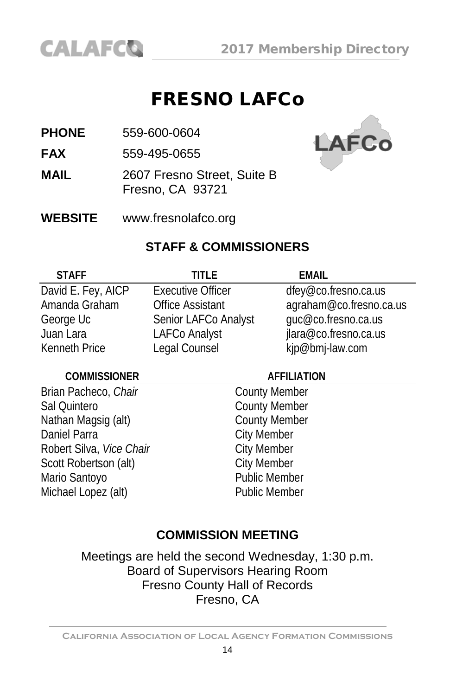

# FRESNO LAFCo

**PHONE** 559-600-0604

**FAX** 559-495-0655

**MAIL** 2607 Fresno Street, Suite B Fresno, CA 93721



**WEBSITE** www.fresnolafco.org

#### **STAFF & COMMISSIONERS**

| <b>STAFF</b>         | TITI F                   | <b>FMAII</b>            |
|----------------------|--------------------------|-------------------------|
| David E. Fey, AICP   | <b>Executive Officer</b> | dfey@co.fresno.ca.us    |
| Amanda Graham        | <b>Office Assistant</b>  | agraham@co.fresno.ca.us |
| George Uc            | Senior LAFCo Analyst     | guc@co.fresno.ca.us     |
| Juan Lara            | LAFCo Analyst            | jlara@co.fresno.ca.us   |
| <b>Kenneth Price</b> | Legal Counsel            | kjp@bmj-law.com         |

#### **COMMISSIONER AFFILIATION**

**Brian Pacheco, Chair** County Member Sal Quintero<br>
Nathan Magsig (alt) County Member<br>
County Member Nathan Magsig (alt) Daniel Parra<br>
Robert Silva, *Vice Chair*<br>
City Member Robert Silva, *Vice Chair*<br>
Scott Robertson (alt) City Member Scott Robertson (alt)<br>
Mario Santovo<br>
Mario Santovo Mario Santoyo Michael Lopez (alt) Public Member

#### **COMMISSION MEETING**

Meetings are held the second Wednesday, 1:30 p.m. Board of Supervisors Hearing Room Fresno County Hall of Records Fresno, CA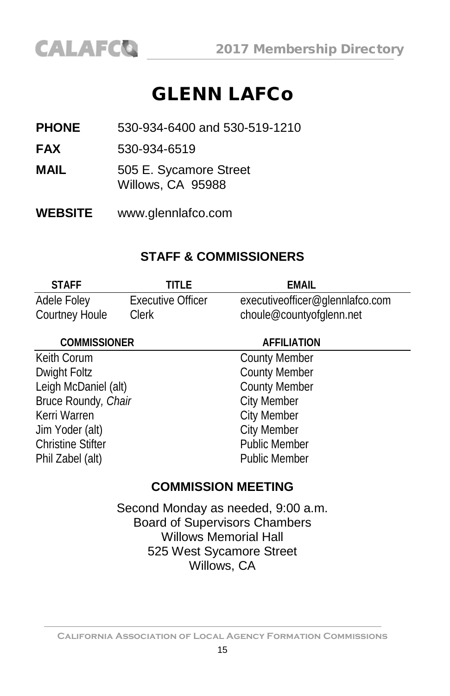# GLENN LAFCo

**PHONE** 530-934-6400 and 530-519-1210

**FAX** 530-934-6519

- **MAIL** 505 E. Sycamore Street Willows, CA 95988
- **WEBSITE** www.glennlafco.com

#### **STAFF & COMMISSIONERS**

| <b>STAFF</b>   | TITI F            | EMAIL                           |
|----------------|-------------------|---------------------------------|
| Adele Foley    | Executive Officer | executiveofficer@glennlafco.com |
| Courtney Houle | Clerk             | choule@countyofglenn.net        |

| <b>COMMISSIONER</b>      | <b>AFFILIATION</b>   |  |
|--------------------------|----------------------|--|
| Keith Corum              | <b>County Member</b> |  |
| Dwight Foltz             | <b>County Member</b> |  |
| Leigh McDaniel (alt)     | <b>County Member</b> |  |
| Bruce Roundy, Chair      | <b>City Member</b>   |  |
| Kerri Warren             | <b>City Member</b>   |  |
| Jim Yoder (alt)          | <b>City Member</b>   |  |
| <b>Christine Stifter</b> | <b>Public Member</b> |  |
| Phil Zabel (alt)         | <b>Public Member</b> |  |
|                          |                      |  |

#### **COMMISSION MEETING**

Second Monday as needed, 9:00 a.m. Board of Supervisors Chambers Willows Memorial Hall 525 West Sycamore Street Willows, CA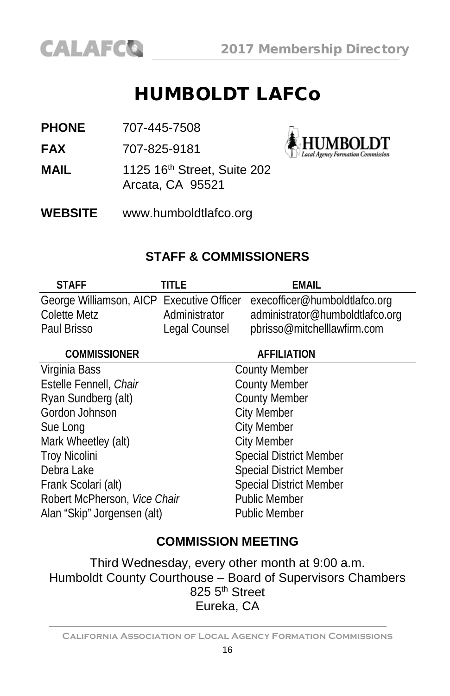

**IMBOLDT** 

# HUMBOLDT LAFCo

**PHONE** 707-445-7508

**FAX** 707-825-9181

**MAIL** 1125 16<sup>th</sup> Street, Suite 202 Arcata, CA 95521



## **STAFF & COMMISSIONERS**

| <b>STAFF</b> | TITI F        | FMAIL                                                                   |
|--------------|---------------|-------------------------------------------------------------------------|
|              |               | George Williamson, AICP Executive Officer execofficer@humboldtlafco.org |
| Colette Metz | Administrator | administrator@humboldtlafco.org                                         |
| Paul Brisso  | Legal Counsel | pbrisso@mitchelllawfirm.com                                             |

| <b>COMMISSIONER</b>          | <b>AFFILIATION</b>             |  |
|------------------------------|--------------------------------|--|
| Virginia Bass                | <b>County Member</b>           |  |
| Estelle Fennell, Chair       | <b>County Member</b>           |  |
| Ryan Sundberg (alt)          | <b>County Member</b>           |  |
| Gordon Johnson               | <b>City Member</b>             |  |
| Sue Long                     | <b>City Member</b>             |  |
| Mark Wheetley (alt)          | <b>City Member</b>             |  |
| <b>Troy Nicolini</b>         | <b>Special District Member</b> |  |
| Debra Lake                   | <b>Special District Member</b> |  |
| Frank Scolari (alt)          | <b>Special District Member</b> |  |
| Robert McPherson, Vice Chair | <b>Public Member</b>           |  |
| Alan "Skip" Jorgensen (alt)  | <b>Public Member</b>           |  |
|                              |                                |  |

#### **COMMISSION MEETING**

Third Wednesday, every other month at 9:00 a.m. Humboldt County Courthouse – Board of Supervisors Chambers 825 5<sup>th</sup> Street Eureka, CA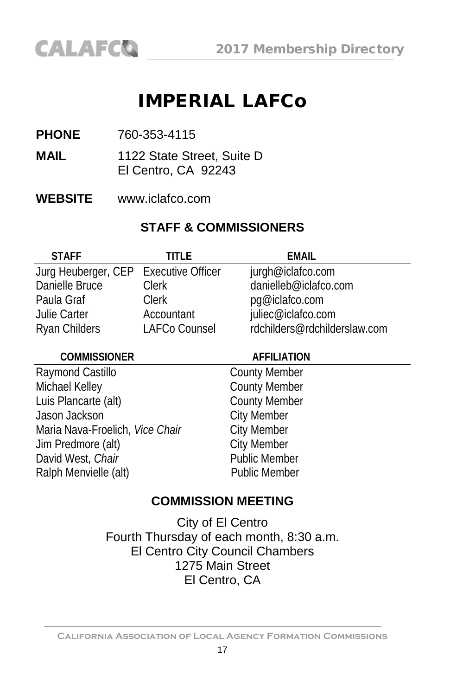# IMPERIAL LAFCo

- **PHONE** 760-353-4115
- **MAIL** 1122 State Street, Suite D El Centro, CA 92243
- **WEBSITE** www.iclafco.com

#### **STAFF & COMMISSIONERS**

| <b>STAFF</b>                          | TITI F        | FMAIL                        |
|---------------------------------------|---------------|------------------------------|
| Jurg Heuberger, CEP Executive Officer |               | jurgh@iclafco.com            |
| Danielle Bruce                        | <b>Clerk</b>  | danielleb@iclafco.com        |
| Paula Graf                            | Clerk         | pg@iclafco.com               |
| Julie Carter                          | Accountant    | juliec@iclafco.com           |
| Ryan Childers                         | LAFCo Counsel | rdchilders@rdchilderslaw.com |

#### **COMMISSIONER AFFILIATION**

Raymond Castillo **County Member** Michael Kelley **County Member** Luis Plancarte (alt) County Member Jason Jackson **City Member** Maria Nava-Froelich, Vice Chair City Member Jim Predmore (alt) City Member David West, *Chair*<br>
Ralph Menvielle (alt)<br>
Public Member Ralph Menvielle (alt)

#### **COMMISSION MEETING**

City of El Centro Fourth Thursday of each month, 8:30 a.m. El Centro City Council Chambers 1275 Main Street El Centro, CA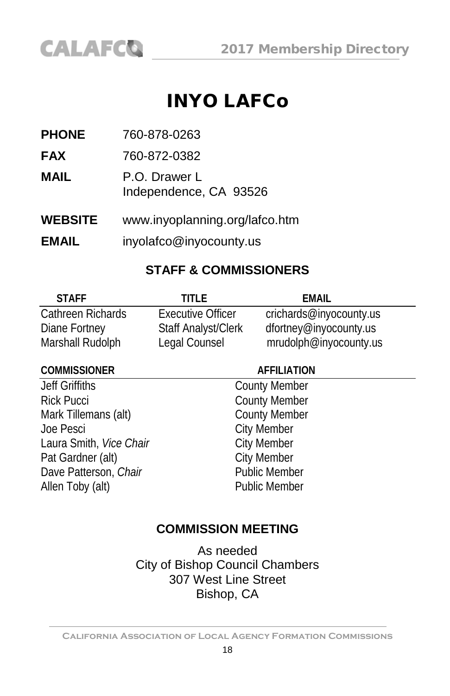

# INYO LAFCo

**PHONE** 760-878-0263

**FAX** 760-872-0382

**MAIL** P.O. Drawer L Independence, CA 93526

**WEBSITE** [www.inyoplanning.org/lafco.htm](http://www.countyofinyo.org/planning/lafco.html)

**EMAIL** inyolafco@inyocounty.us

#### **STAFF & COMMISSIONERS**

| <b>STAFF</b>      | TITI F                     | FMAIL                   |
|-------------------|----------------------------|-------------------------|
| Cathreen Richards | <b>Executive Officer</b>   | crichards@inyocounty.us |
| Diane Fortney     | <b>Staff Analyst/Clerk</b> | dfortney@inyocounty.us  |
| Marshall Rudolph  | Legal Counsel              | mrudolph@inyocounty.us  |

#### **COMMISSIONER AFFILIATION**

Jeff Griffiths County Member Rick Pucci<br>
Mark Tillemans (alt) County Member<br>
County Member Mark Tillemans (alt) Joe Pesci<br>
Laura Smith, *Vice Chair*<br>
City Member Laura Smith, *Vice Chair*<br>
Pat Gardner (alt) City Member<br>
City Member Pat Gardner (alt) Dave Patterson, *Chair* Public Member Allen Toby (alt) **Public Member** 

#### **COMMISSION MEETING**

As needed City of Bishop Council Chambers 307 West Line Street Bishop, CA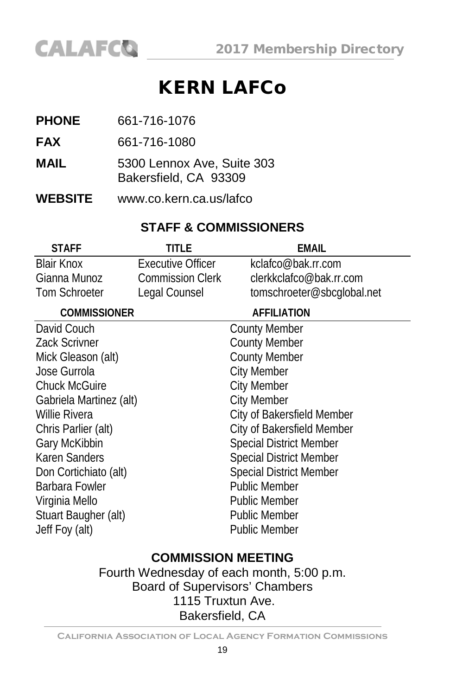# KERN LAFCo

- **PHONE** 661-716-1076
- **FAX** 661-716-1080
- **MAIL** 5300 Lennox Ave, Suite 303 Bakersfield, CA 93309
- **WEBSITE** [www.co.kern.ca.us/lafco](http://www.co.kern.ca.us/lafco)

#### **STAFF & COMMISSIONERS**

| title                    | <b>EMAIL</b>                   |
|--------------------------|--------------------------------|
| <b>Executive Officer</b> | kclafco@bak.rr.com             |
| <b>Commission Clerk</b>  | clerkkclafco@bak.rr.com        |
| Legal Counsel            | tomschroeter@sbcglobal.net     |
|                          | <b>AFFILIATION</b>             |
|                          | County Member                  |
|                          | <b>County Member</b>           |
|                          | <b>County Member</b>           |
|                          | <b>City Member</b>             |
|                          | <b>City Member</b>             |
|                          | <b>City Member</b>             |
|                          | City of Bakersfield Member     |
|                          | City of Bakersfield Member     |
|                          | <b>Special District Member</b> |
|                          | <b>Special District Member</b> |
|                          | <b>Special District Member</b> |
|                          | <b>Public Member</b>           |
|                          | <b>Public Member</b>           |
|                          | <b>Public Member</b>           |
|                          | Public Member                  |
|                          |                                |

## **COMMISSION MEETING**

Fourth Wednesday of each month, 5:00 p.m. Board of Supervisors' Chambers 1115 Truxtun Ave. Bakersfield, CA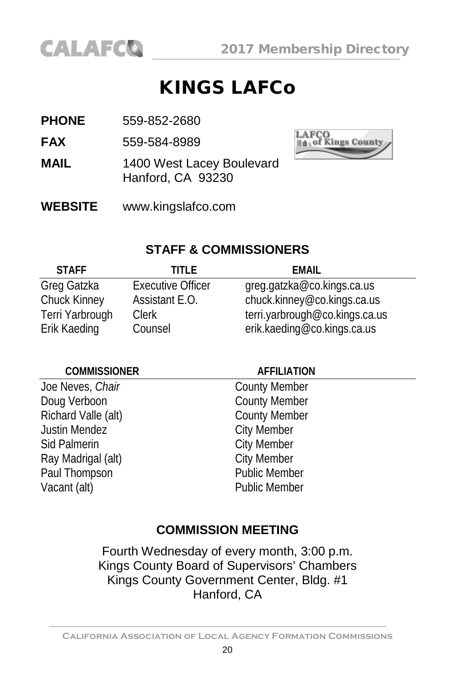

# KINGS LAFCo

- **PHONE** 559-852-2680
- **FAX** 559-584-8989
- **MAIL** 1400 West Lacey Boulevard Hanford, CA 93230
- **WEBSITE** [www.kingslafco.com](http://www.kingslafco.com/)



#### **STAFF & COMMISSIONERS**

| <b>STAFF</b>    | TITI F                   | FMAIL                          |
|-----------------|--------------------------|--------------------------------|
| Greg Gatzka     | <b>Executive Officer</b> | greg.gatzka@co.kings.ca.us     |
| Chuck Kinney    | Assistant E.O.           | chuck.kinney@co.kings.ca.us    |
| Terri Yarbrough | <b>Clerk</b>             | terri.yarbrough@co.kings.ca.us |
| Erik Kaeding    | Counsel                  | erik.kaeding@co.kings.ca.us    |

#### **COMMISSIONER AFFILIATION** Joe Neves, *Chair* County Member Doug Verboon County Member Richard Valle (alt) County Member Justin Mendez **City Member** Sid Palmerin **City Member** Ray Madrigal (alt) City Member Paul Thompson Public Member Vacant (alt) **Public Member**

#### **COMMISSION MEETING**

Fourth Wednesday of every month, 3:00 p.m. Kings County Board of Supervisors' Chambers Kings County Government Center, Bldg. #1 Hanford, CA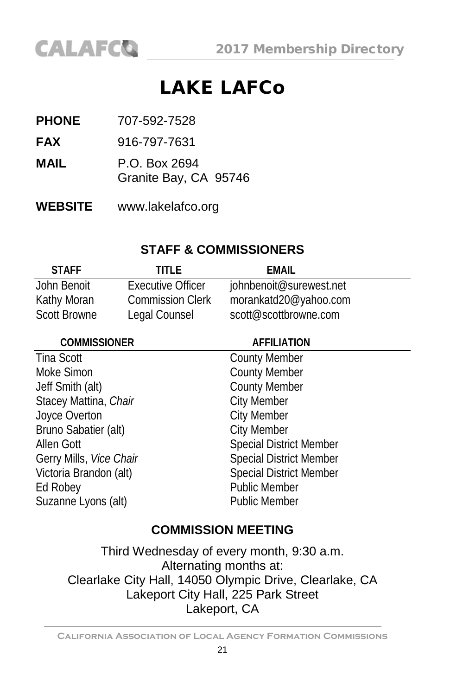# LAKE LAFCo

- **PHONE** 707-592-7528
- **FAX** 916-797-7631
- **MAIL** P.O. Box 2694
	- Granite Bay, CA 95746
- **WEBSITE** [www.lakelafco.org](http://www.lakelafco.org/)

## **STAFF & COMMISSIONERS**

| <b>STAFF</b>        | TITI F                   | FMAIL                   |
|---------------------|--------------------------|-------------------------|
| John Benoit         | <b>Executive Officer</b> | johnbenoit@surewest.net |
| Kathy Moran         | <b>Commission Clerk</b>  | morankatd20@yahoo.com   |
| <b>Scott Browne</b> | Legal Counsel            | scott@scottbrowne.com   |

| <b>AFFILIATION</b>             |
|--------------------------------|
| <b>County Member</b>           |
| <b>County Member</b>           |
| <b>County Member</b>           |
| <b>City Member</b>             |
| <b>City Member</b>             |
| <b>City Member</b>             |
| <b>Special District Member</b> |
| <b>Special District Member</b> |
| <b>Special District Member</b> |
| <b>Public Member</b>           |
| <b>Public Member</b>           |
|                                |

## **COMMISSION MEETING**

Third Wednesday of every month, 9:30 a.m. Alternating months at: Clearlake City Hall, 14050 Olympic Drive, Clearlake, CA Lakeport City Hall, 225 Park Street Lakeport, CA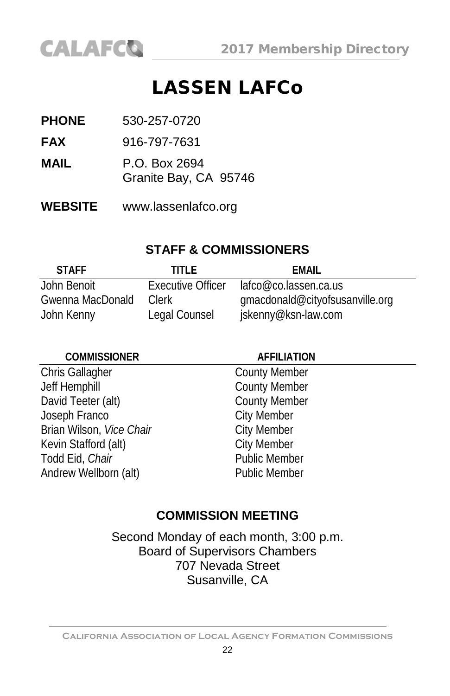

# LASSEN LAFCo

- **PHONE** 530-257-0720
- **FAX** 916-797-7631
- **MAIL** P.O. Box 2694 Granite Bay, CA 95746
- **WEBSITE** [www.lassenlafco.org](http://www.lassenlafco.org/)

#### **STAFF & COMMISSIONERS**

| <b>STAFF</b>     | TITI F                   | FMAIL                           |
|------------------|--------------------------|---------------------------------|
| John Benoit      | <b>Executive Officer</b> | lafco@co.lassen.ca.us           |
| Gwenna MacDonald | Clerk                    | gmacdonald@cityofsusanville.org |
| John Kenny       | Legal Counsel            | jskenny@ksn-law.com             |

| <b>COMMISSIONER</b>      | <b>AFFILIATION</b>   |
|--------------------------|----------------------|
| Chris Gallagher          | <b>County Member</b> |
| Jeff Hemphill            | <b>County Member</b> |
| David Teeter (alt)       | <b>County Member</b> |
| Joseph Franco            | <b>City Member</b>   |
| Brian Wilson, Vice Chair | <b>City Member</b>   |
| Kevin Stafford (alt)     | <b>City Member</b>   |
| Todd Eid, Chair          | <b>Public Member</b> |
| Andrew Wellborn (alt)    | <b>Public Member</b> |

#### **COMMISSION MEETING**

Second Monday of each month, 3:00 p.m. Board of Supervisors Chambers 707 Nevada Street Susanville, CA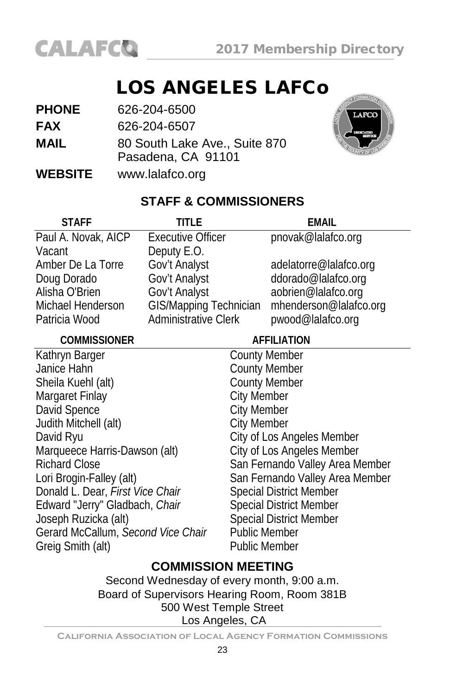

# LOS ANGELES LAFCo

| <b>PHONE</b>   | 626-204-6500                                        |
|----------------|-----------------------------------------------------|
| <b>FAX</b>     | 626-204-6507                                        |
| <b>MAIL</b>    | 80 South Lake Ave., Suite 870<br>Pasadena, CA 91101 |
| <b>WEBSITE</b> | www.lalafco.org                                     |



## **STAFF & COMMISSIONERS**

| <b>STAFF</b>                       | TITI F                      |                                | FMAIL                           |
|------------------------------------|-----------------------------|--------------------------------|---------------------------------|
| Paul A. Novak, AICP                | <b>Executive Officer</b>    |                                | pnovak@lalafco.org              |
| Vacant                             | Deputy E.O.                 |                                |                                 |
| Amber De La Torre                  | Gov't Analyst               |                                | adelatorre@lalafco.org          |
| Doug Dorado                        | Gov't Analyst               |                                | ddorado@lalafco.org             |
| Alisha O'Brien                     | Gov't Analyst               |                                | aobrien@lalafco.org             |
| Michael Henderson                  | GIS/Mapping Technician      |                                | mhenderson@lalafco.org          |
| Patricia Wood                      | <b>Administrative Clerk</b> |                                | pwood@lalafco.org               |
| <b>COMMISSIONER</b>                |                             |                                | <b>AFFILIATION</b>              |
| Kathryn Barger                     |                             | <b>County Member</b>           |                                 |
| Janice Hahn                        |                             | <b>County Member</b>           |                                 |
| Sheila Kuehl (alt)                 |                             | <b>County Member</b>           |                                 |
| Margaret Finlay                    |                             | <b>City Member</b>             |                                 |
| David Spence                       |                             | <b>City Member</b>             |                                 |
| Judith Mitchell (alt)              |                             | <b>City Member</b>             |                                 |
| David Ryu                          |                             |                                | City of Los Angeles Member      |
| Marqueece Harris-Dawson (alt)      |                             |                                | City of Los Angeles Member      |
| <b>Richard Close</b>               |                             |                                | San Fernando Valley Area Member |
| Lori Brogin-Falley (alt)           |                             |                                | San Fernando Valley Area Member |
| Donald L. Dear, First Vice Chair   |                             | <b>Special District Member</b> |                                 |
| Edward "Jerry" Gladbach, Chair     |                             |                                | <b>Special District Member</b>  |
| Joseph Ruzicka (alt)               |                             |                                | <b>Special District Member</b>  |
| Gerard McCallum, Second Vice Chair |                             | <b>Public Member</b>           |                                 |
| Greig Smith (alt)                  |                             | <b>Public Member</b>           |                                 |

#### **COMMISSION MEETING**

Second Wednesday of every month, 9:00 a.m. Board of Supervisors Hearing Room, Room 381B 500 West Temple Street Los Angeles, CA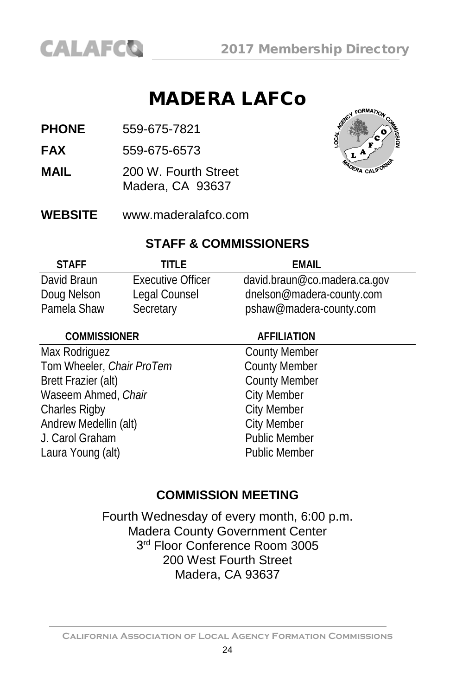

# MADERA LAFCo

**PHONE** 559-675-7821

**FAX** 559-675-6573

- **MAIL** 200 W. Fourth Street Madera, CA 93637
- **WEBSITE** [www.maderalafco.com](http://www.maderalafco.com/)



#### **STAFF & COMMISSIONERS**

| <b>STAFF</b> | TITI F                   | FMAIL                        |
|--------------|--------------------------|------------------------------|
| David Braun  | <b>Executive Officer</b> | david.braun@co.madera.ca.gov |
| Doug Nelson  | Legal Counsel            | dnelson@madera-county.com    |
| Pamela Shaw  | Secretary                | pshaw@madera-county.com      |

| <b>COMMISSIONER</b>       | <b>AFFILIATION</b>   |  |
|---------------------------|----------------------|--|
| Max Rodriguez             | <b>County Member</b> |  |
| Tom Wheeler, Chair ProTem | <b>County Member</b> |  |
| Brett Frazier (alt)       | <b>County Member</b> |  |
| Waseem Ahmed, Chair       | <b>City Member</b>   |  |
| <b>Charles Rigby</b>      | <b>City Member</b>   |  |
| Andrew Medellin (alt)     | <b>City Member</b>   |  |
| J. Carol Graham           | Public Member        |  |
| Laura Young (alt)         | <b>Public Member</b> |  |
|                           |                      |  |

#### **COMMISSION MEETING**

Fourth Wednesday of every month, 6:00 p.m. Madera County Government Center 3rd Floor Conference Room 3005 200 West Fourth Street Madera, CA 93637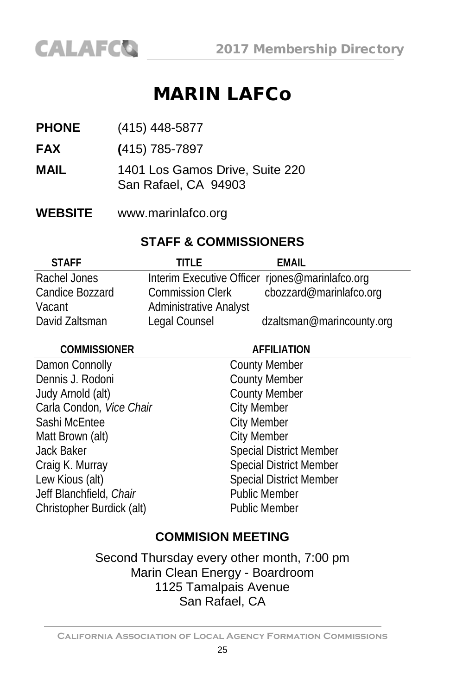# MARIN LAFCo

- **PHONE** (415) 448-5877
- **FAX (**415) 785-7897
- **MAIL** 1401 Los Gamos Drive, Suite 220 San Rafael, CA 94903
- **WEBSITE** [www.marinlafco.org](http://www.marinlafco.org/)

#### **STAFF & COMMISSIONERS**

| <b>STAFF</b>    | TITI F                                          | EMAIL                     |
|-----------------|-------------------------------------------------|---------------------------|
| Rachel Jones    | Interim Executive Officer riones@marinlafco.org |                           |
| Candice Bozzard | <b>Commission Clerk</b>                         | cbozzard@marinlafco.org   |
| Vacant          | <b>Administrative Analyst</b>                   |                           |
| David Zaltsman  | Legal Counsel                                   | dzaltsman@marincounty.org |

| <b>COMMISSIONER</b>       | <b>AFFILIATION</b>             |  |
|---------------------------|--------------------------------|--|
| Damon Connolly            | <b>County Member</b>           |  |
| Dennis J. Rodoni          | <b>County Member</b>           |  |
| Judy Arnold (alt)         | <b>County Member</b>           |  |
| Carla Condon, Vice Chair  | <b>City Member</b>             |  |
| Sashi McEntee             | City Member                    |  |
| Matt Brown (alt)          | <b>City Member</b>             |  |
| Jack Baker                | <b>Special District Member</b> |  |
| Craig K. Murray           | <b>Special District Member</b> |  |
| Lew Kious (alt)           | <b>Special District Member</b> |  |
| Jeff Blanchfield, Chair   | <b>Public Member</b>           |  |
| Christopher Burdick (alt) | <b>Public Member</b>           |  |
|                           |                                |  |

#### **COMMISION MEETING**

Second Thursday every other month, 7:00 pm Marin Clean Energy - Boardroom 1125 Tamalpais Avenue San Rafael, CA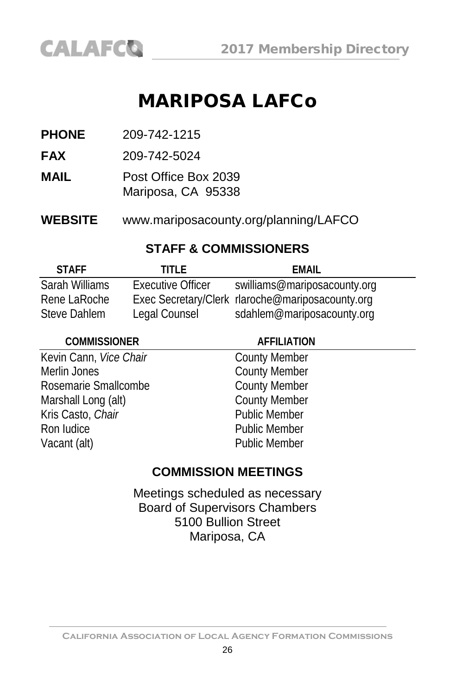# MARIPOSA LAFCo

**PHONE** 209-742-1215

**CALAFCO** 

**FAX** 209-742-5024

**MAIL** Post Office Box 2039 Mariposa, CA 95338

**WEBSITE** www.mariposacounty.org/planning/LAFCO

#### **STAFF & COMMISSIONERS**

| <b>STAFF</b>   | TITI F            | FMAIL                                            |
|----------------|-------------------|--------------------------------------------------|
| Sarah Williams | Executive Officer | swilliams@mariposacounty.org                     |
| Rene LaRoche   |                   | Exec Secretary/Clerk rlaroche@mariposacounty.org |
| Steve Dahlem   | Legal Counsel     | sdahlem@mariposacounty.org                       |

| <b>COMMISSIONER</b>    | <b>AFFILIATION</b>   |
|------------------------|----------------------|
| Kevin Cann, Vice Chair | <b>County Member</b> |
| Merlin Jones           | <b>County Member</b> |
| Rosemarie Smallcombe   | <b>County Member</b> |
| Marshall Long (alt)    | <b>County Member</b> |
| Kris Casto, Chair      | <b>Public Member</b> |
| Ron Iudice             | <b>Public Member</b> |
| Vacant (alt)           | <b>Public Member</b> |

#### **COMMISSION MEETINGS**

Meetings scheduled as necessary Board of Supervisors Chambers 5100 Bullion Street Mariposa, CA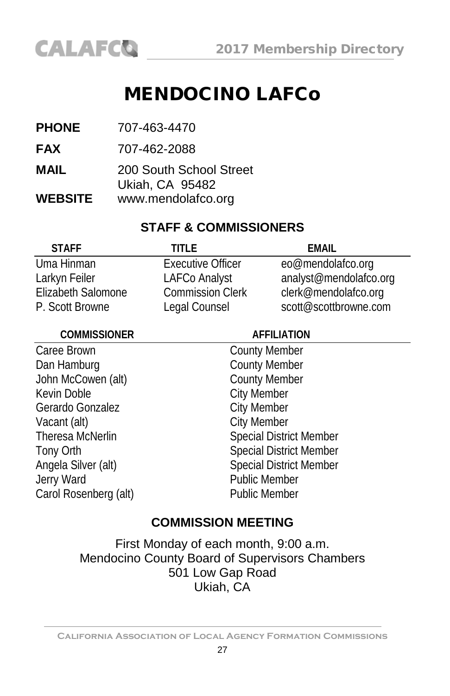# MENDOCINO LAFCo

- **PHONE** 707-463-4470
- **FAX** 707-462-2088
- **MAIL** 200 South School Street Ukiah, CA 95482
- **WEBSITE** [www.mendolafco.org](http://www.mendolafco.org/)

#### **STAFF & COMMISSIONERS**

| <b>STAFF</b>       | TITLF                    | FMAIL                  |
|--------------------|--------------------------|------------------------|
| Uma Hinman         | <b>Executive Officer</b> | eo@mendolafco.org      |
| Larkyn Feiler      | <b>LAFCo Analyst</b>     | analyst@mendolafco.org |
| Elizabeth Salomone | <b>Commission Clerk</b>  | clerk@mendolafco.org   |
| P. Scott Browne    | Legal Counsel            | scott@scottbrowne.com  |

| <b>COMMISSIONER</b>   | <b>AFFILIATION</b>             |  |
|-----------------------|--------------------------------|--|
| Caree Brown           | <b>County Member</b>           |  |
| Dan Hamburg           | <b>County Member</b>           |  |
| John McCowen (alt)    | <b>County Member</b>           |  |
| Kevin Doble           | <b>City Member</b>             |  |
| Gerardo Gonzalez      | <b>City Member</b>             |  |
| Vacant (alt)          | <b>City Member</b>             |  |
| Theresa McNerlin      | <b>Special District Member</b> |  |
| Tony Orth             | <b>Special District Member</b> |  |
| Angela Silver (alt)   | <b>Special District Member</b> |  |
| Jerry Ward            | <b>Public Member</b>           |  |
| Carol Rosenberg (alt) | <b>Public Member</b>           |  |
|                       |                                |  |

#### **COMMISSION MEETING**

First Monday of each month, 9:00 a.m. Mendocino County Board of Supervisors Chambers 501 Low Gap Road Ukiah, CA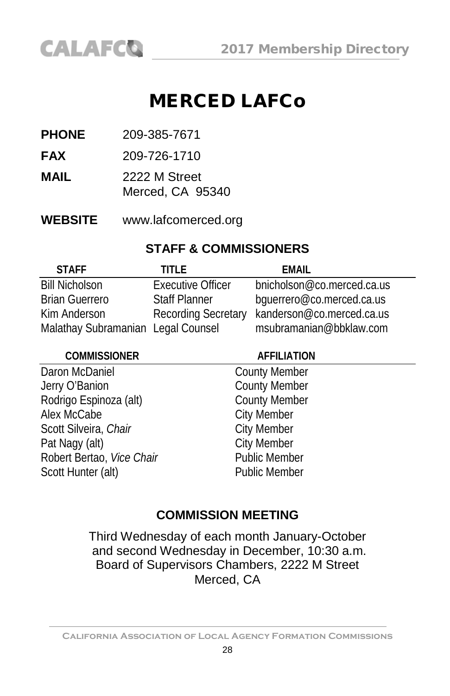# MERCED LAFCo

**PHONE** 209-385-7671

**CALAFCO** 

- **FAX** 209-726-1710
- **MAIL** 2222 M Street Merced, CA 95340
- **WEBSITE** [www.lafcomerced.org](http://www.lafcomerced.org/)

#### **STAFF & COMMISSIONERS**

| <b>STAFF</b>                       | TITI F                     | FMAIL                      |
|------------------------------------|----------------------------|----------------------------|
| <b>Bill Nicholson</b>              | Executive Officer          | bnicholson@co.merced.ca.us |
| <b>Brian Guerrero</b>              | <b>Staff Planner</b>       | bguerrero@co.merced.ca.us  |
| Kim Anderson                       | <b>Recording Secretary</b> | kanderson@co.merced.ca.us  |
| Malathay Subramanian Legal Counsel |                            | msubramanian@bbklaw.com    |

| <b>COMMISSIONER</b>       | <b>AFFILIATION</b>   |  |
|---------------------------|----------------------|--|
| Daron McDaniel            | <b>County Member</b> |  |
| Jerry O'Banion            | <b>County Member</b> |  |
| Rodrigo Espinoza (alt)    | <b>County Member</b> |  |
| Alex McCabe               | <b>City Member</b>   |  |
| Scott Silveira, Chair     | <b>City Member</b>   |  |
| Pat Nagy (alt)            | <b>City Member</b>   |  |
| Robert Bertao, Vice Chair | Public Member        |  |
| Scott Hunter (alt)        | <b>Public Member</b> |  |
|                           |                      |  |

#### **COMMISSION MEETING**

Third Wednesday of each month January-October and second Wednesday in December, 10:30 a.m. Board of Supervisors Chambers, 2222 M Street Merced, CA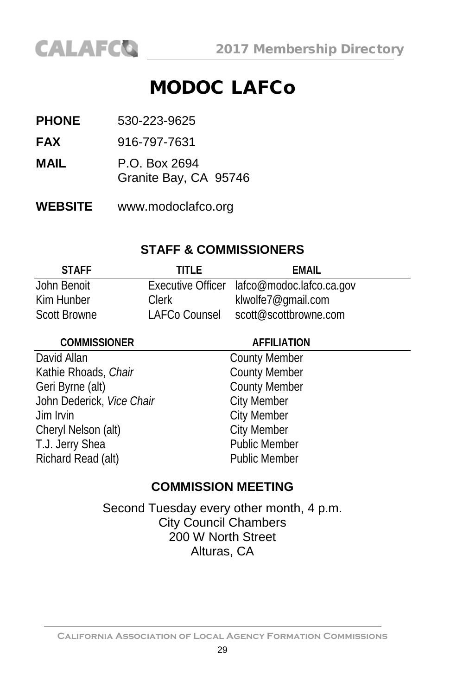# MODOC LAFCo

- **PHONE** 530-223-9625
- **FAX** 916-797-7631
- **MAIL** P.O. Box 2694
	- Granite Bay, CA 95746
- **WEBSITE** [www.modoclafco.org](http://www.modoc.lafco.ca.gov/)

#### **STAFF & COMMISSIONERS**

| <b>STAFF</b>        | TITI F        | FMAIL                                      |
|---------------------|---------------|--------------------------------------------|
| John Benoit         |               | Executive Officer lafco@modoc.lafco.ca.gov |
| Kim Hunber          | Clerk         | klwolfe7@qmail.com                         |
| <b>Scott Browne</b> | LAFCo Counsel | scott@scottbrowne.com                      |

| <b>COMMISSIONER</b>       | <b>AFFILIATION</b>   |
|---------------------------|----------------------|
| David Allan               | <b>County Member</b> |
| Kathie Rhoads, Chair      | <b>County Member</b> |
| Geri Byrne (alt)          | <b>County Member</b> |
| John Dederick, Vice Chair | <b>City Member</b>   |
| Jim Irvin                 | <b>City Member</b>   |
| Cheryl Nelson (alt)       | <b>City Member</b>   |
| T.J. Jerry Shea           | <b>Public Member</b> |
| Richard Read (alt)        | <b>Public Member</b> |

#### **COMMISSION MEETING**

Second Tuesday every other month, 4 p.m. City Council Chambers 200 W North Street Alturas, CA

**California Association of Local Agency Formation Commissions**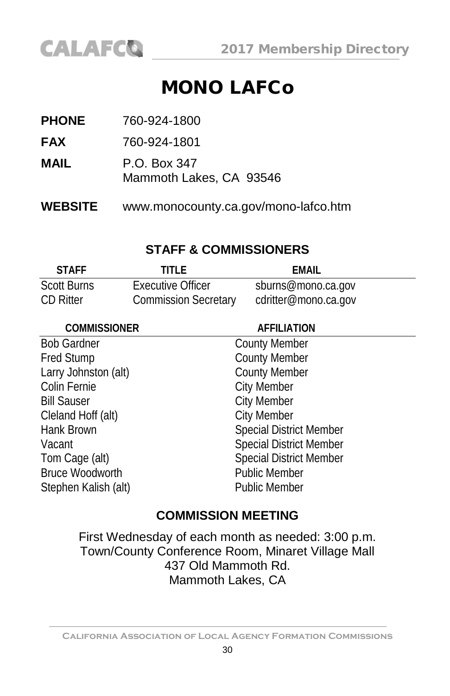

# MONO LAFCo

| <b>WEBSITE</b> | www.monocounty.ca.gov/mono-lafco.htm    |
|----------------|-----------------------------------------|
| MAIL           | P.O. Box 347<br>Mammoth Lakes, CA 93546 |
| <b>FAX</b>     | 760-924-1801                            |
| <b>PHONE</b>   | 760-924-1800                            |

#### **STAFF & COMMISSIONERS**

| <b>STAFF</b> | TITI F                      | <b>EMAIL</b>         |
|--------------|-----------------------------|----------------------|
| Scott Burns  | Executive Officer           | sburns@mono.ca.gov   |
| CD Ritter    | <b>Commission Secretary</b> | cdritter@mono.ca.gov |

| <b>AFFILIATION</b>             |
|--------------------------------|
| <b>County Member</b>           |
| <b>County Member</b>           |
| <b>County Member</b>           |
| <b>City Member</b>             |
| <b>City Member</b>             |
| <b>City Member</b>             |
| <b>Special District Member</b> |
| <b>Special District Member</b> |
| <b>Special District Member</b> |
| <b>Public Member</b>           |
| <b>Public Member</b>           |
|                                |

#### **COMMISSION MEETING**

First Wednesday of each month as needed: 3:00 p.m. Town/County Conference Room, Minaret Village Mall 437 Old Mammoth Rd. Mammoth Lakes, CA

**California Association of Local Agency Formation Commissions**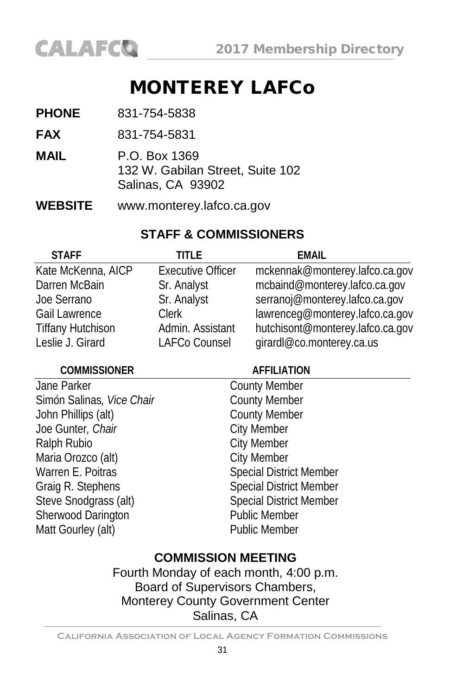# MONTEREY LAFCo

| <b>PHONE</b>   | 831-754-5838                                                           |
|----------------|------------------------------------------------------------------------|
| <b>FAX</b>     | 831-754-5831                                                           |
| MAIL           | P.O. Box 1369<br>132 W. Gabilan Street, Suite 102<br>Salinas, CA 93902 |
| <b>WEBSITE</b> | www.monterey.lafco.ca.gov                                              |

#### **STAFF & COMMISSIONERS**

| <b>STAFF</b>             | TITI F                   | FMAII                            |
|--------------------------|--------------------------|----------------------------------|
| Kate McKenna, AICP       | <b>Executive Officer</b> | mckennak@monterey.lafco.ca.gov   |
| Darren McBain            | Sr. Analyst              | mcbaind@monterey.lafco.ca.gov    |
| Joe Serrano              | Sr. Analyst              | serranoj@monterey.lafco.ca.gov   |
| <b>Gail Lawrence</b>     | Clerk                    | lawrenceg@monterey.lafco.ca.gov  |
| <b>Tiffany Hutchison</b> | Admin. Assistant         | hutchisont@monterey.lafco.ca.gov |
| Leslie J. Girard         | LAFCo Counsel            | girardl@co.monterey.ca.us        |

#### **COMMISSIONER AFFILIATION**

| Jane Parker               | <b>County Member</b>           |
|---------------------------|--------------------------------|
| Simón Salinas, Vice Chair | <b>County Member</b>           |
| John Phillips (alt)       | <b>County Member</b>           |
| Joe Gunter, Chair         | <b>City Member</b>             |
| Ralph Rubio               | <b>City Member</b>             |
| Maria Orozco (alt)        | <b>City Member</b>             |
| Warren E. Poitras         | <b>Special District Member</b> |
| Graig R. Stephens         | <b>Special District Member</b> |
| Steve Snodgrass (alt)     | <b>Special District Member</b> |
| Sherwood Darington        | Public Member                  |
| Matt Gourley (alt)        | <b>Public Member</b>           |
|                           |                                |

#### **COMMISSION MEETING**

Fourth Monday of each month, 4:00 p.m. Board of Supervisors Chambers, Monterey County Government Center Salinas, CA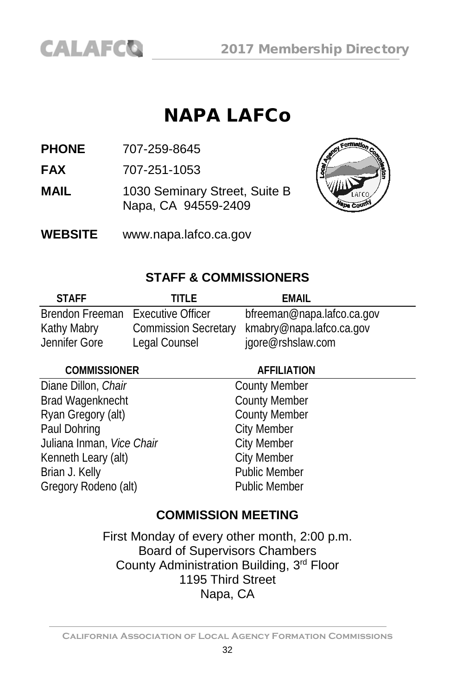# NAPA LAFCo

**PHONE** 707-259-8645

**FAX** 707-251-1053

**MAIL** 1030 Seminary Street, Suite B Napa, CA 94559-2409



**WEBSITE** www.napa.lafco.ca.gov

#### **STAFF & COMMISSIONERS**

| <b>STAFF</b>                      | TITI FI       | EMAIL                                         |
|-----------------------------------|---------------|-----------------------------------------------|
| Brendon Freeman Executive Officer |               | bfreeman@napa.lafco.ca.gov                    |
| Kathy Mabry                       |               | Commission Secretary kmabry@napa.lafco.ca.gov |
| Jennifer Gore                     | Legal Counsel | jgore@rshslaw.com                             |

#### **COMMISSIONER AFFILIATION**

Diane Dillon, *Chair* County Member<br>Brad Wagenknecht County Member Brad Wagenknecht<br>
Ryan Gregory (alt)<br>
County Member<br>
County Member Ryan Gregory (alt)<br>Paul Dohring Juliana Inman, *Vice Chair* **City Member**<br> **Kenneth Leary (alt)** City Member Kenneth Leary (alt) Brian J. Kelly **Public Member** Gregory Rodeno (alt) Public Member

**City Member<br>City Member** 

## **COMMISSION MEETING**

First Monday of every other month, 2:00 p.m. Board of Supervisors Chambers County Administration Building, 3rd Floor 1195 Third Street Napa, CA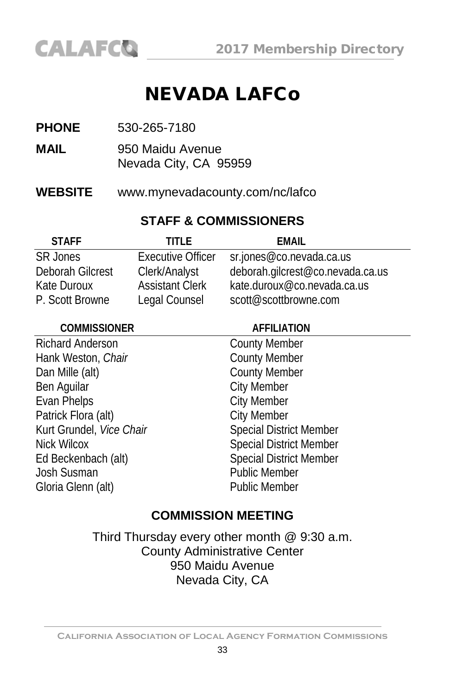

# NEVADA LAFCo

- **MAIL** 950 Maidu Avenue Nevada City, CA 95959
- **WEBSITE** [www.mynevadacounty.com/nc/lafco](http://www.mynevadacounty.com/nc/lafco)

#### **STAFF & COMMISSIONERS**

| <b>STAFF</b>     | TITI F                   | FMAIL                            |
|------------------|--------------------------|----------------------------------|
| <b>SR Jones</b>  | <b>Executive Officer</b> | sr.jones@co.nevada.ca.us         |
| Deborah Gilcrest | Clerk/Analyst            | deborah.gilcrest@co.nevada.ca.us |
| Kate Duroux      | <b>Assistant Clerk</b>   | kate.duroux@co.nevada.ca.us      |
| P. Scott Browne  | Legal Counsel            | scott@scottbrowne.com            |

| <b>COMMISSIONER</b>      | <b>AFFILIATION</b>             |  |
|--------------------------|--------------------------------|--|
| <b>Richard Anderson</b>  | <b>County Member</b>           |  |
| Hank Weston, Chair       | <b>County Member</b>           |  |
| Dan Mille (alt)          | <b>County Member</b>           |  |
| Ben Aguilar              | <b>City Member</b>             |  |
| Evan Phelps              | <b>City Member</b>             |  |
| Patrick Flora (alt)      | <b>City Member</b>             |  |
| Kurt Grundel, Vice Chair | <b>Special District Member</b> |  |
| Nick Wilcox              | <b>Special District Member</b> |  |
| Ed Beckenbach (alt)      | <b>Special District Member</b> |  |
| Josh Susman              | <b>Public Member</b>           |  |
| Gloria Glenn (alt)       | <b>Public Member</b>           |  |

#### **COMMISSION MEETING**

Third Thursday every other month @ 9:30 a.m. County Administrative Center 950 Maidu Avenue Nevada City, CA

**California Association of Local Agency Formation Commissions**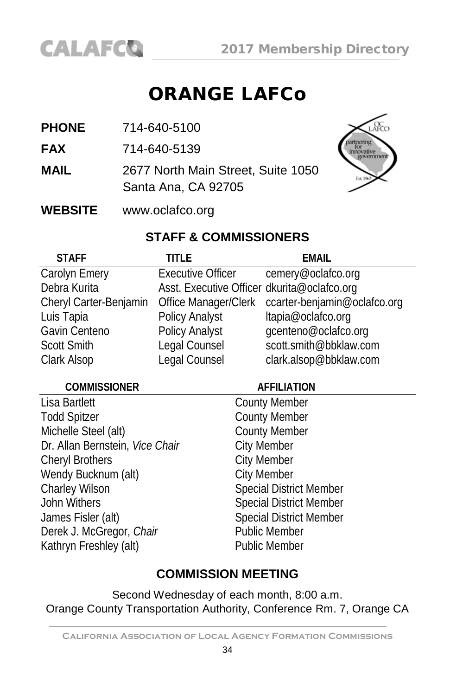

# ORANGE LAFCo

- **PHONE** 714-640-5100
- **FAX** 714-640-5139
- **MAIL** 2677 North Main Street, Suite 1050 Santa Ana, CA 92705



**WEBSITE** www.oclafco.org

#### **STAFF & COMMISSIONERS**

| <b>STAFF</b>           | title                                       | <b>EMAIL</b>                                      |
|------------------------|---------------------------------------------|---------------------------------------------------|
| Carolyn Emery          | Executive Officer                           | cemery@oclafco.org                                |
| Debra Kurita           | Asst. Executive Officer dkurita@oclafco.org |                                                   |
| Cheryl Carter-Benjamin |                                             | Office Manager/Clerk ccarter-benjamin@oclafco.org |
| Luis Tapia             | Policy Analyst                              | ltapia@oclafco.org                                |
| Gavin Centeno          | Policy Analyst                              | qcenteno@oclafco.org                              |
| <b>Scott Smith</b>     | Legal Counsel                               | scott.smith@bbklaw.com                            |
| Clark Alsop            | Legal Counsel                               | clark.alsop@bbklaw.com                            |

#### **COMMISSIONER AFFILIATION**

Lisa Bartlett **County Member** Todd Spitzer **County Member** Michelle Steel (alt) County Member Dr. Allan Bernstein, *Vice Chair* City Member Cheryl Brothers Cheryl Brothers City Member Wendy Bucknum (alt) City Member<br>
Charley Wilson Charles Special Distri John Withers Special District Member James Fisler (alt) Special District Member Derek J. McGregor, *Chair* Public Member Kathryn Freshley (alt) Public Member

# Special District Member

#### **COMMISSION MEETING**

Second Wednesday of each month, 8:00 a.m. Orange County Transportation Authority, Conference Rm. 7, Orange CA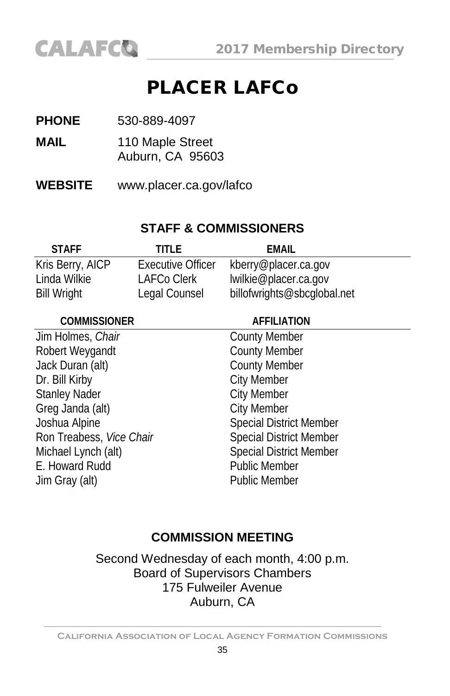

# PLACER LAFCo

- **PHONE** 530-889-4097
- **MAIL** 110 Maple Street Auburn, CA 95603
- **WEBSITE** www.placer.ca.gov/lafco

#### **STAFF & COMMISSIONERS**

| <b>STAFF</b>       | TITI F                   | EMAIL                       |
|--------------------|--------------------------|-----------------------------|
| Kris Berry, AICP   | <b>Executive Officer</b> | kberry@placer.ca.gov        |
| Linda Wilkie       | LAFCo Clerk              | lwilkie@placer.ca.gov       |
| <b>Bill Wright</b> | Legal Counsel            | billofwrights@sbcglobal.net |

| <b>COMMISSIONER</b>      | <b>AFFILIATION</b>             |
|--------------------------|--------------------------------|
| Jim Holmes, Chair        | <b>County Member</b>           |
| Robert Weygandt          | <b>County Member</b>           |
| Jack Duran (alt)         | <b>County Member</b>           |
| Dr. Bill Kirby           | <b>City Member</b>             |
| <b>Stanley Nader</b>     | <b>City Member</b>             |
| Greg Janda (alt)         | <b>City Member</b>             |
| Joshua Alpine            | <b>Special District Member</b> |
| Ron Treabess, Vice Chair | <b>Special District Member</b> |
| Michael Lynch (alt)      | <b>Special District Member</b> |
| E. Howard Rudd           | <b>Public Member</b>           |
| Jim Gray (alt)           | <b>Public Member</b>           |

#### **COMMISSION MEETING**

Second Wednesday of each month, 4:00 p.m. Board of Supervisors Chambers 175 Fulweiler Avenue Auburn, CA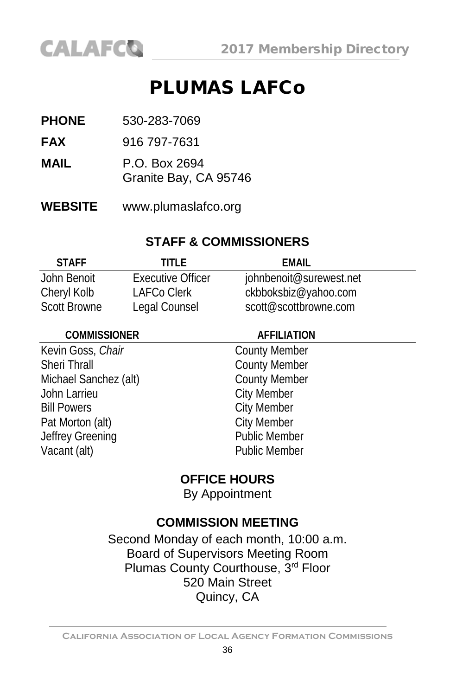

# PLUMAS LAFCo

- **PHONE** 530-283-7069
- **FAX** 916 797-7631
- **MAIL** P.O. Box 2694
	- Granite Bay, CA 95746
- **WEBSITE** www.plumaslafco.org

#### **STAFF & COMMISSIONERS**

| <b>STAFF</b>        | TITI F                   | FMAIL                   |
|---------------------|--------------------------|-------------------------|
| John Benoit         | <b>Executive Officer</b> | johnbenoit@surewest.net |
| Cheryl Kolb         | LAFCo Clerk              | ckbboksbiz@yahoo.com    |
| <b>Scott Browne</b> | Legal Counsel            | scott@scottbrowne.com   |

| <b>COMMISSIONER</b>   | <b>AFFILIATION</b>   |  |
|-----------------------|----------------------|--|
| Kevin Goss, Chair     | <b>County Member</b> |  |
| Sheri Thrall          | <b>County Member</b> |  |
| Michael Sanchez (alt) | <b>County Member</b> |  |
| John Larrieu          | <b>City Member</b>   |  |
| <b>Bill Powers</b>    | <b>City Member</b>   |  |
| Pat Morton (alt)      | <b>City Member</b>   |  |
| Jeffrey Greening      | <b>Public Member</b> |  |
| Vacant (alt)          | <b>Public Member</b> |  |
|                       |                      |  |

#### **OFFICE HOURS**

By Appointment

## **COMMISSION MEETING**

Second Monday of each month, 10:00 a.m. Board of Supervisors Meeting Room Plumas County Courthouse, 3rd Floor 520 Main Street Quincy, CA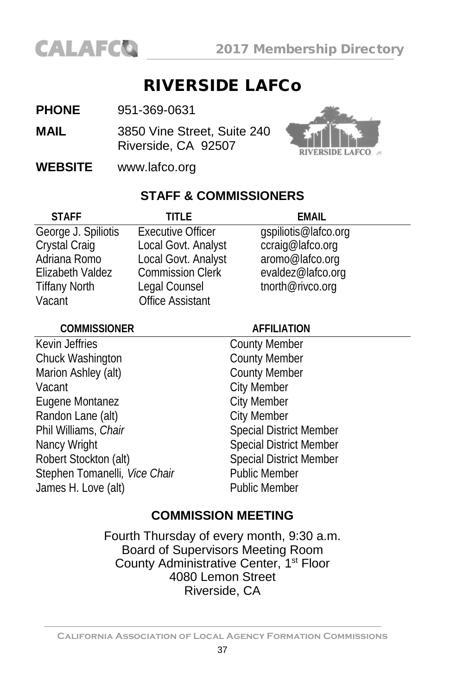

### RIVERSIDE LAFCo

**PHONE** 951-369-0631

**MAIL** 3850 Vine Street, Suite 240 Riverside, CA 92507



**WEBSITE** [www.lafco.org](http://www.lafco.org/)

#### **STAFF & COMMISSIONERS**

| <b>STAFF</b>         | TITI F                   | FMAIL                |
|----------------------|--------------------------|----------------------|
| George J. Spiliotis  | <b>Executive Officer</b> | gspiliotis@lafco.org |
| Crystal Craig        | Local Govt. Analyst      | ccraig@lafco.org     |
| Adriana Romo         | Local Govt. Analyst      | aromo@lafco.org      |
| Elizabeth Valdez     | <b>Commission Clerk</b>  | evaldez@lafco.org    |
| <b>Tiffany North</b> | Legal Counsel            | tnorth@rivco.org     |
| Vacant               | <b>Office Assistant</b>  |                      |

| <b>COMMISSIONER</b>           | <b>AFFILIATION</b>             |
|-------------------------------|--------------------------------|
| Kevin Jeffries                | <b>County Member</b>           |
| Chuck Washington              | <b>County Member</b>           |
| Marion Ashley (alt)           | <b>County Member</b>           |
| Vacant                        | <b>City Member</b>             |
| Eugene Montanez               | <b>City Member</b>             |
| Randon Lane (alt)             | <b>City Member</b>             |
| Phil Williams, Chair          | <b>Special District Member</b> |
| Nancy Wright                  | <b>Special District Member</b> |
| Robert Stockton (alt)         | <b>Special District Member</b> |
| Stephen Tomanelli, Vice Chair | <b>Public Member</b>           |
| James H. Love (alt)           | <b>Public Member</b>           |

#### **COMMISSION MEETING**

Fourth Thursday of every month, 9:30 a.m. Board of Supervisors Meeting Room County Administrative Center, 1<sup>st</sup> Floor 4080 Lemon Street Riverside, CA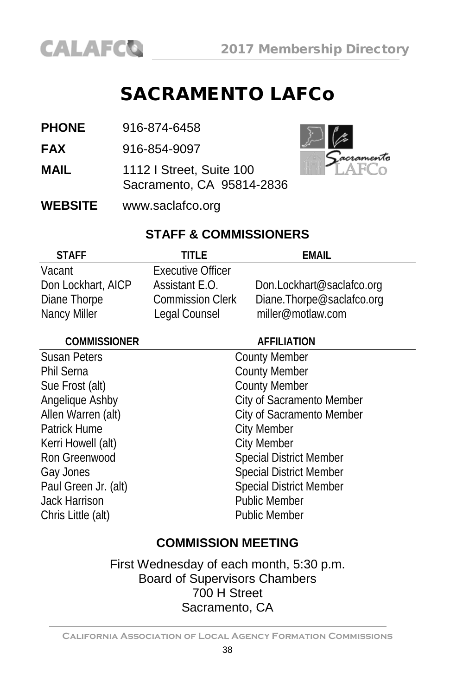

### SACRAMENTO LAFCo

| <b>PHONE</b><br>916-874-6458 |
|------------------------------|
|------------------------------|

**FAX** 916-854-9097

- **MAIL** 1112 I Street, Suite 100 Sacramento, CA 95814-2836
- **WEBSITE** [www.saclafco.org](http://www.saclafco.org/)



### **STAFF & COMMISSIONERS**

| <b>STAFF</b>       | TITI F                   | FMAIL                     |
|--------------------|--------------------------|---------------------------|
| Vacant             | <b>Executive Officer</b> |                           |
| Don Lockhart, AICP | Assistant E.O.           | Don.Lockhart@saclafco.org |
| Diane Thorpe       | <b>Commission Clerk</b>  | Diane.Thorpe@saclafco.org |
| Nancy Miller       | Legal Counsel            | miller@motlaw.com         |

| <b>COMMISSIONER</b>  | <b>AFFILIATION</b>             |
|----------------------|--------------------------------|
| <b>Susan Peters</b>  | <b>County Member</b>           |
| Phil Serna           | <b>County Member</b>           |
| Sue Frost (alt)      | <b>County Member</b>           |
| Angelique Ashby      | City of Sacramento Member      |
| Allen Warren (alt)   | City of Sacramento Member      |
| Patrick Hume         | <b>City Member</b>             |
| Kerri Howell (alt)   | <b>City Member</b>             |
| Ron Greenwood        | <b>Special District Member</b> |
| Gay Jones            | <b>Special District Member</b> |
| Paul Green Jr. (alt) | <b>Special District Member</b> |
| Jack Harrison        | <b>Public Member</b>           |
| Chris Little (alt)   | <b>Public Member</b>           |
|                      |                                |

#### **COMMISSION MEETING**

First Wednesday of each month, 5:30 p.m. Board of Supervisors Chambers 700 H Street Sacramento, CA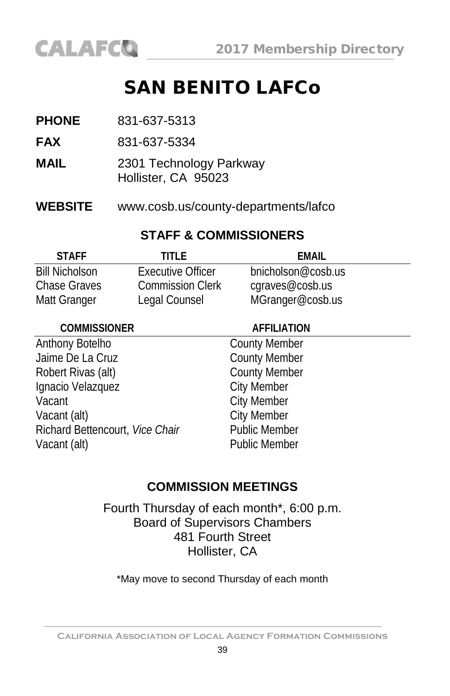## SAN BENITO LAFCo

- **FAX** 831-637-5334
- **MAIL** 2301 Technology Parkway Hollister, CA 95023
- **WEBSITE** [www.cosb.us/county-departments/lafco](http://www.cosb.us/county-departments/lafco/)

#### **STAFF & COMMISSIONERS**

| <b>STAFF</b>          | TITLE                   | FMAIL              |
|-----------------------|-------------------------|--------------------|
| <b>Bill Nicholson</b> | Executive Officer       | bnicholson@cosb.us |
| Chase Graves          | <b>Commission Clerk</b> | cgraves@cosb.us    |
| Matt Granger          | Legal Counsel           | MGranger@cosb.us   |

#### **COMMISSIONER AFFILIATION**

#### Anthony Botelho County Member<br>
Jaime De La Cruz County Member Jaime De La Cruz Robert Rivas (alt) County Member Ignacio Velazquez **City Member** Vacant City Member Vacant (alt) City Member Richard Bettencourt, *Vice Chair* Public Member Vacant (alt) **Public Member**

#### **COMMISSION MEETINGS**

Fourth Thursday of each month\*, 6:00 p.m. Board of Supervisors Chambers 481 Fourth Street Hollister, CA

\*May move to second Thursday of each month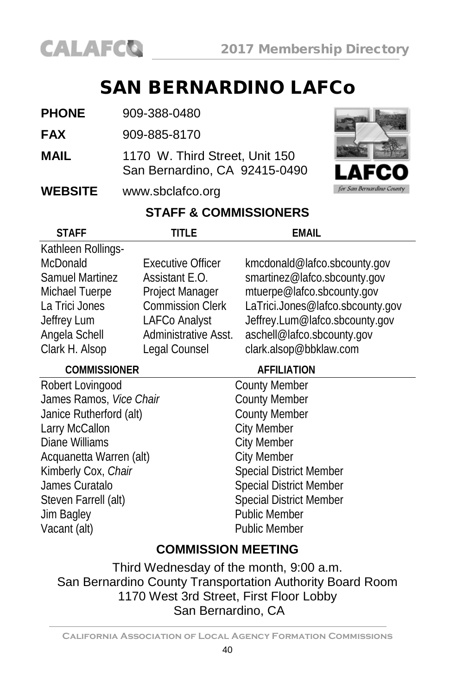

### SAN BERNARDINO LAFCo

- **PHONE** 909-388-0480
- **FAX** 909-885-8170
- **MAIL** 1170 W. Third Street, Unit 150 San Bernardino, CA 92415-0490

#### **WEBSITE** [www.sbclafco.org](http://www.sbclafco.org/)



### **STAFF & COMMISSIONERS**

| <b>STAFF</b>            | title                    | EMAIL                            |  |
|-------------------------|--------------------------|----------------------------------|--|
| Kathleen Rollings-      |                          |                                  |  |
| <b>McDonald</b>         | <b>Executive Officer</b> | kmcdonald@lafco.sbcounty.gov     |  |
| <b>Samuel Martinez</b>  | Assistant E.O.           | smartinez@lafco.sbcounty.gov     |  |
| Michael Tuerpe          | Project Manager          | mtuerpe@lafco.sbcounty.gov       |  |
| La Trici Jones          | <b>Commission Clerk</b>  | LaTrici.Jones@lafco.sbcounty.gov |  |
| Jeffrey Lum             | LAFCo Analyst            | Jeffrey.Lum@lafco.sbcounty.gov   |  |
| Angela Schell           | Administrative Asst.     | aschell@lafco.sbcounty.gov       |  |
| Clark H. Alsop          | Legal Counsel            | clark.alsop@bbklaw.com           |  |
| <b>COMMISSIONER</b>     |                          | <b>AFFILIATION</b>               |  |
| Robert Lovingood        |                          | <b>County Member</b>             |  |
| James Ramos, Vice Chair |                          | <b>County Member</b>             |  |
| Janice Rutherford (alt) |                          | <b>County Member</b>             |  |
| Larry McCallon          |                          | <b>City Member</b>               |  |
| Diane Williams          |                          | <b>City Member</b>               |  |
| Acquanetta Warren (alt) |                          | <b>City Member</b>               |  |
| Kimberly Cox, Chair     |                          | <b>Special District Member</b>   |  |
| James Curatalo          |                          | <b>Special District Member</b>   |  |
| Steven Farrell (alt)    |                          | <b>Special District Member</b>   |  |
| Jim Bagley              |                          | <b>Public Member</b>             |  |
| Vacant (alt)            |                          | <b>Public Member</b>             |  |
| COMMICCION MEETING      |                          |                                  |  |

#### **COMMISSION MEETING**

Third Wednesday of the month, 9:00 a.m. San Bernardino County Transportation Authority Board Room 1170 West 3rd Street, First Floor Lobby San Bernardino, CA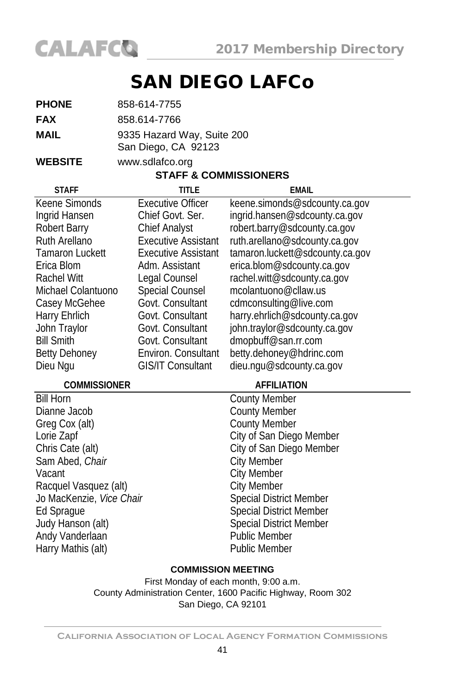

## SAN DIEGO LAFCo

| <b>PHONE</b> | 858-614-7755               |  |
|--------------|----------------------------|--|
| FAX          | 858.614-7766               |  |
| MAIL         | 9335 Hazard Way, Suite 200 |  |
|              | San Diego, CA 92123        |  |

**WEBSITE** [www.sdlafco.org](http://www.sdlafco.org/)

#### **STAFF & COMMISSIONERS**

| <b>STAFF</b>             | <b>TITLE</b>               | <b>EMAIL</b>                    |
|--------------------------|----------------------------|---------------------------------|
| Keene Simonds            | <b>Executive Officer</b>   | keene.simonds@sdcounty.ca.gov   |
| Ingrid Hansen            | Chief Govt, Ser.           | ingrid.hansen@sdcounty.ca.gov   |
| Robert Barry             | <b>Chief Analyst</b>       | robert.barry@sdcounty.ca.gov    |
| Ruth Arellano            | <b>Executive Assistant</b> | ruth.arellano@sdcounty.ca.gov   |
| Tamaron Luckett          | <b>Executive Assistant</b> | tamaron.luckett@sdcounty.ca.gov |
| Erica Blom               | Adm. Assistant             | erica.blom@sdcounty.ca.gov      |
| Rachel Witt              | Legal Counsel              | rachel.witt@sdcounty.ca.gov     |
| Michael Colantuono       | Special Counsel            | mcolantuono@cllaw.us            |
| Casey McGehee            | Govt. Consultant           | cdmconsulting@live.com          |
| Harry Ehrlich            | Govt. Consultant           | harry.ehrlich@sdcounty.ca.gov   |
| John Traylor             | Govt. Consultant           | john.traylor@sdcounty.ca.gov    |
| <b>Bill Smith</b>        | Govt. Consultant           | dmopbuff@san.rr.com             |
| <b>Betty Dehoney</b>     | Environ. Consultant        | betty.dehoney@hdrinc.com        |
| Dieu Ngu                 | <b>GIS/IT Consultant</b>   | dieu.ngu@sdcounty.ca.gov        |
| <b>COMMISSIONER</b>      |                            | <b>AFFILIATION</b>              |
| <b>Bill Horn</b>         |                            | <b>County Member</b>            |
| Dianne Jacob             |                            | <b>County Member</b>            |
| Greg Cox (alt)           |                            | <b>County Member</b>            |
| Lorie Zapf               |                            | City of San Diego Member        |
| Chris Cate (alt)         |                            | City of San Diego Member        |
| Sam Abed, Chair          |                            | <b>City Member</b>              |
| Vacant                   |                            | City Member                     |
| Racquel Vasquez (alt)    |                            | <b>City Member</b>              |
| Jo MacKenzie, Vice Chair |                            | <b>Special District Member</b>  |
| Ed Sprague               |                            | <b>Special District Member</b>  |
| Judy Hanson (alt)        |                            | <b>Special District Member</b>  |
| Andy Vanderlaan          |                            | <b>Public Member</b>            |

#### **COMMISSION MEETING**

Harry Mathis (alt) **Public Member** 

First Monday of each month, 9:00 a.m. County Administration Center, 1600 Pacific Highway, Room 302 San Diego, CA 92101

**California Association of Local Agency Formation Commissions**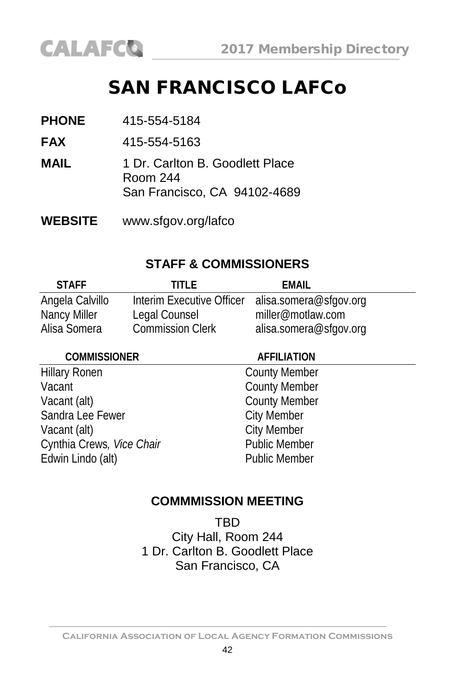

### SAN FRANCISCO LAFCo

- **PHONE** 415-554-5184
- **FAX** 415-554-5163
- **MAIL** 1 Dr. Carlton B. Goodlett Place Room 244 San Francisco, CA 94102-4689
- **WEBSITE** [www.sfgov.org/lafco](http://www.sfgov.org/bos/lafco)

#### **STAFF & COMMISSIONERS**

| <b>STAFF</b>    | TITI F                    | FMAIL                  |
|-----------------|---------------------------|------------------------|
| Angela Calvillo | Interim Executive Officer | alisa.somera@sfgov.org |
| Nancy Miller    | Legal Counsel             | miller@motlaw.com      |
| Alisa Somera    | <b>Commission Clerk</b>   | alisa.somera@sfgov.org |

#### **COMMISSIONER AFFILIATION**

Hillary Ronen County Member Vacant **County Member** Vacant (alt)<br>
Sandra Lee Fewer<br>
City Member Sandra Lee Fewer Vacant (alt) City Member Cynthia Crews, Vice Chair **Public Member** Edwin Lindo (alt) **Public Member** 

#### **COMMMISSION MEETING**

**TRD** City Hall, Room 244 1 Dr. Carlton B. Goodlett Place San Francisco, CA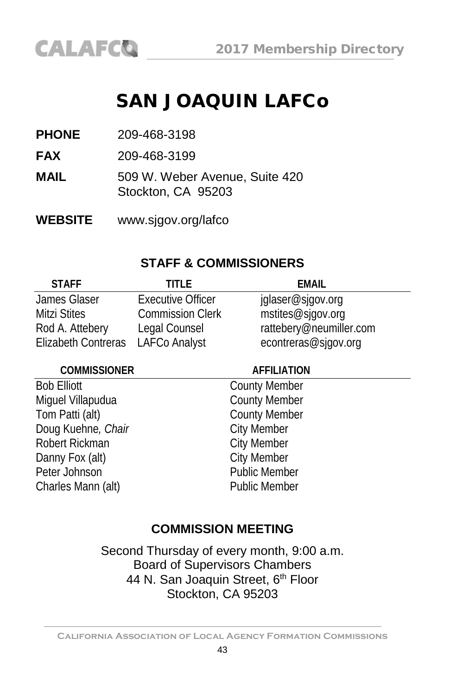### SAN JOAQUIN LAFCo

**PHONE** 209-468-3198

**FAX** 209-468-3199

**MAIL** 509 W. Weber Avenue, Suite 420 Stockton, CA 95203

**WEBSITE** [www.sjgov.org/lafco](http://www.sjgov.org/lafco)

#### **STAFF & COMMISSIONERS**

| <b>STAFF</b>        | TITI F                   | FMAIL                   |
|---------------------|--------------------------|-------------------------|
| James Glaser        | <b>Executive Officer</b> | jglaser@sjgov.org       |
| <b>Mitzi Stites</b> | <b>Commission Clerk</b>  | mstites@sjgov.org       |
| Rod A. Attebery     | Legal Counsel            | rattebery@neumiller.com |
| Elizabeth Contreras | <b>LAFCo Analyst</b>     | econtreras@sjgov.org    |

#### **COMMISSIONER AFFILIATION**

Bob Elliott<br>
Miguel Villapudua<br>
County Member<br>
County Member Miguel Villapudua Tom Patti (alt) County Member<br>
Doug Kuehne, Chair<br>
City Member Doug Kuehne, Chair Robert Rickman<br>
Danny Fox (alt) City Member Danny Fox (alt) Peter Johnson **Public Member** Charles Mann (alt) **Public Member** 

### **COMMISSION MEETING**

Second Thursday of every month, 9:00 a.m. Board of Supervisors Chambers 44 N. San Joaquin Street, 6<sup>th</sup> Floor Stockton, CA 95203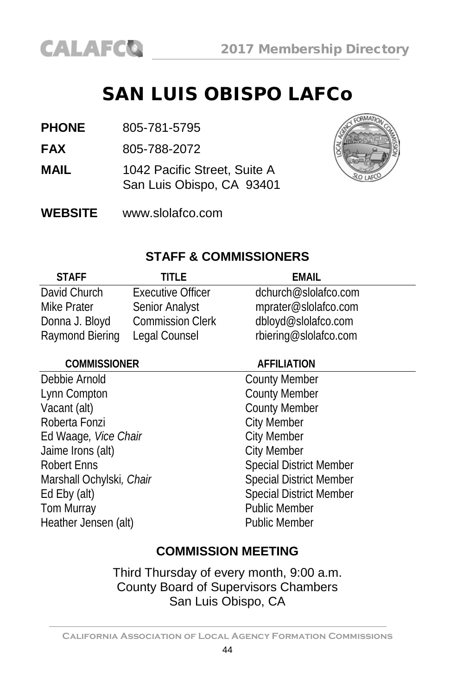### SAN LUIS OBISPO LAFCo

**PHONE** 805-781-5795

**FAX** 805-788-2072

- **MAIL** 1042 Pacific Street, Suite A San Luis Obispo, CA 93401
- **WEBSITE** [www.slolafco.com](http://www.slolafco.com/)



#### **STAFF & COMMISSIONERS**

| <b>STAFF</b>    | TITI F                   | EMAIL                 |
|-----------------|--------------------------|-----------------------|
| David Church    | <b>Executive Officer</b> | dchurch@slolafco.com  |
| Mike Prater     | Senior Analyst           | mprater@slolafco.com  |
| Donna J. Bloyd  | <b>Commission Clerk</b>  | dbloyd@slolafco.com   |
| Raymond Biering | Legal Counsel            | rbiering@slolafco.com |

#### **COMMISSIONER AFFILIATION**

Debbie Arnold County Member Lynn Compton County Member Vacant (alt) County Member Roberta Fonzi<br>
Ed Waage, *Vice Chair*<br>
Ed Waage, *Vice Chair* Ed Waage, *Vice Chair*<br>
Jaime Irons (alt) City Member Jaime Irons (alt) Robert Enns Marshall Ochylski, Chair Special District Member Ed Eby (alt) Special District Member Heather Jensen (alt) Public Member

Public Member

#### **COMMISSION MEETING**

Third Thursday of every month, 9:00 a.m. County Board of Supervisors Chambers San Luis Obispo, CA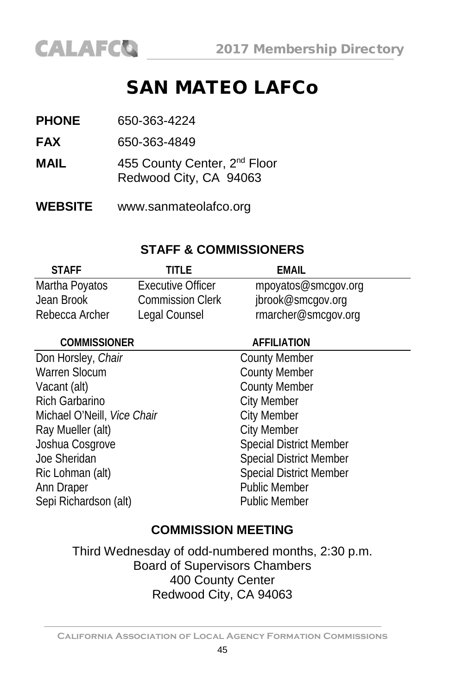## SAN MATEO LAFCo

| <b>PHONE</b> | 650-363-4224                                                       |
|--------------|--------------------------------------------------------------------|
| <b>FAX</b>   | 650-363-4849                                                       |
| MAIL         | 455 County Center, 2 <sup>nd</sup> Floor<br>Redwood City, CA 94063 |

**WEBSITE** www.sanmateolafco.org

#### **STAFF & COMMISSIONERS**

| <b>STAFF</b>   | TITI F                   | FMAIL               |
|----------------|--------------------------|---------------------|
| Martha Poyatos | <b>Executive Officer</b> | mpoyatos@smcgov.org |
| Jean Brook     | <b>Commission Clerk</b>  | jbrook@smcgov.org   |
| Rebecca Archer | Legal Counsel            | rmarcher@smcgov.org |

| <b>COMMISSIONER</b>         | <b>AFFILIATION</b>             |
|-----------------------------|--------------------------------|
| Don Horsley, Chair          | <b>County Member</b>           |
| <b>Warren Slocum</b>        | <b>County Member</b>           |
| Vacant (alt)                | <b>County Member</b>           |
| <b>Rich Garbarino</b>       | <b>City Member</b>             |
| Michael O'Neill, Vice Chair | <b>City Member</b>             |
| Ray Mueller (alt)           | <b>City Member</b>             |
| Joshua Cosgrove             | <b>Special District Member</b> |
| Joe Sheridan                | <b>Special District Member</b> |
| Ric Lohman (alt)            | <b>Special District Member</b> |
| Ann Draper                  | <b>Public Member</b>           |
| Sepi Richardson (alt)       | <b>Public Member</b>           |
|                             |                                |

### **COMMISSION MEETING**

Third Wednesday of odd-numbered months, 2:30 p.m. Board of Supervisors Chambers 400 County Center Redwood City, CA 94063

**California Association of Local Agency Formation Commissions**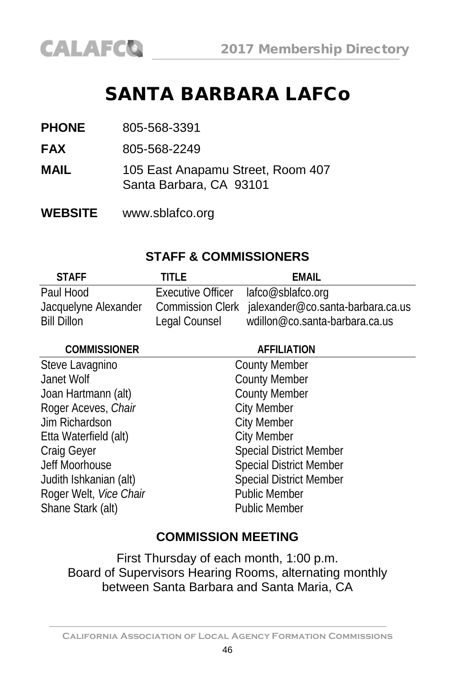### SANTA BARBARA LAFCo

| <b>PHONE</b> | 805-568-3391 |
|--------------|--------------|
|              |              |

**FAX** 805-568-2249

- **MAIL** 105 East Anapamu Street, Room 407 Santa Barbara, CA 93101
- **WEBSITE** [www.sblafco.org](http://www.sblafco.org/)

#### **STAFF & COMMISSIONERS**

| <b>STAFF</b>         | TITI F                              | FMAIL                                              |
|----------------------|-------------------------------------|----------------------------------------------------|
| Paul Hood            | Executive Officer lafco@sblafco.org |                                                    |
| Jacquelyne Alexander |                                     | Commission Clerk jalexander@co.santa-barbara.ca.us |
| <b>Bill Dillon</b>   | Legal Counsel                       | wdillon@co.santa-barbara.ca.us                     |

| <b>COMMISSIONER</b>    | <b>AFFILIATION</b>             |
|------------------------|--------------------------------|
| Steve Lavagnino        | <b>County Member</b>           |
| Janet Wolf             | <b>County Member</b>           |
| Joan Hartmann (alt)    | <b>County Member</b>           |
| Roger Aceves, Chair    | <b>City Member</b>             |
| Jim Richardson         | <b>City Member</b>             |
| Etta Waterfield (alt)  | <b>City Member</b>             |
| Craig Geyer            | <b>Special District Member</b> |
| Jeff Moorhouse         | <b>Special District Member</b> |
| Judith Ishkanian (alt) | <b>Special District Member</b> |
| Roger Welt, Vice Chair | <b>Public Member</b>           |
| Shane Stark (alt)      | <b>Public Member</b>           |
|                        |                                |

#### **COMMISSION MEETING**

First Thursday of each month, 1:00 p.m. Board of Supervisors Hearing Rooms, alternating monthly between Santa Barbara and Santa Maria, CA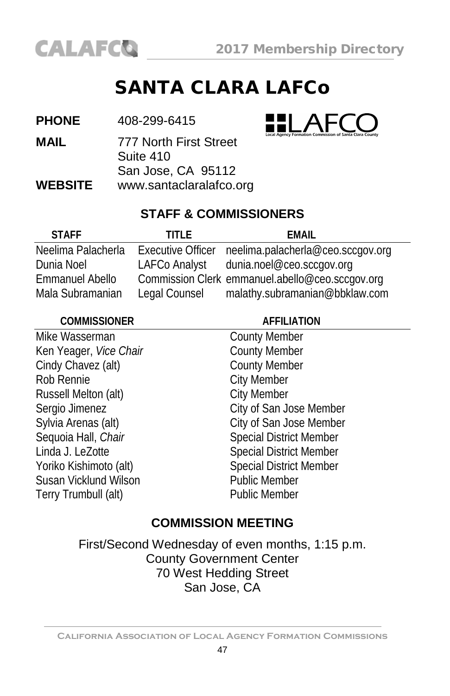

## SANTA CLARA LAFCo

**PHONE** 408-299-6415

**MAIL** 777 North First Street Suite 410 San Jose, CA 95112 **WEBSITE** [www.santaclaralafco.org](http://www.santaclara.lafco.ca.gov/)



### **STAFF & COMMISSIONERS**

| <b>STAFF</b>           | TITI F                   | FMAIL                                           |
|------------------------|--------------------------|-------------------------------------------------|
| Neelima Palacherla     | <b>Executive Officer</b> | neelima.palacherla@ceo.sccgov.org               |
| Dunia Noel             | LAFCo Analyst            | dunia.noel@ceo.sccgov.org                       |
| <b>Emmanuel Abello</b> |                          | Commission Clerk emmanuel.abello@ceo.sccgov.org |
| Mala Subramanian       | Legal Counsel            | malathy.subramanian@bbklaw.com                  |

| <b>COMMISSIONER</b>    | <b>AFFILIATION</b>             |  |
|------------------------|--------------------------------|--|
| Mike Wasserman         | <b>County Member</b>           |  |
| Ken Yeager, Vice Chair | <b>County Member</b>           |  |
| Cindy Chavez (alt)     | <b>County Member</b>           |  |
| Rob Rennie             | <b>City Member</b>             |  |
| Russell Melton (alt)   | <b>City Member</b>             |  |
| Sergio Jimenez         | City of San Jose Member        |  |
| Sylvia Arenas (alt)    | City of San Jose Member        |  |
| Sequoia Hall, Chair    | <b>Special District Member</b> |  |
| Linda J. LeZotte       | <b>Special District Member</b> |  |
| Yoriko Kishimoto (alt) | <b>Special District Member</b> |  |
| Susan Vicklund Wilson  | <b>Public Member</b>           |  |
| Terry Trumbull (alt)   | <b>Public Member</b>           |  |
|                        |                                |  |

### **COMMISSION MEETING**

First/Second Wednesday of even months, 1:15 p.m. County Government Center 70 West Hedding Street San Jose, CA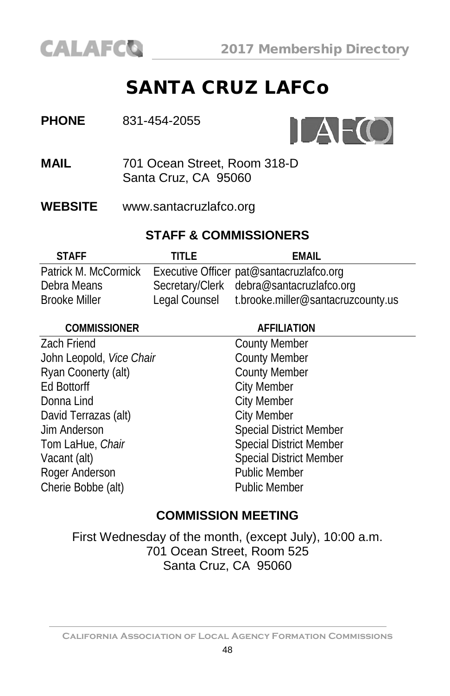

### SANTA CRUZ LAFCo



**MAIL** 701 Ocean Street, Room 318-D Santa Cruz, CA 95060

**WEBSITE** [www.santacruzlafco.org](http://www.santacruzlafco.org/)

### **STAFF & COMMISSIONERS**

| <b>STAFF</b>         | TITI F        | FMAIL                                    |
|----------------------|---------------|------------------------------------------|
| Patrick M. McCormick |               | Executive Officer pat@santacruzlafco.org |
| Debra Means          |               | Secretary/Clerk debra@santacruzlafco.org |
| <b>Brooke Miller</b> | Legal Counsel | t.brooke.miller@santacruzcounty.us       |

| <b>AFFILIATION</b>             |
|--------------------------------|
| <b>County Member</b>           |
| <b>County Member</b>           |
| <b>County Member</b>           |
| <b>City Member</b>             |
| <b>City Member</b>             |
| <b>City Member</b>             |
| <b>Special District Member</b> |
| <b>Special District Member</b> |
| <b>Special District Member</b> |
| <b>Public Member</b>           |
| <b>Public Member</b>           |
|                                |

#### **COMMISSION MEETING**

First Wednesday of the month, (except July), 10:00 a.m. 701 Ocean Street, Room 525 Santa Cruz, CA 95060

**California Association of Local Agency Formation Commissions**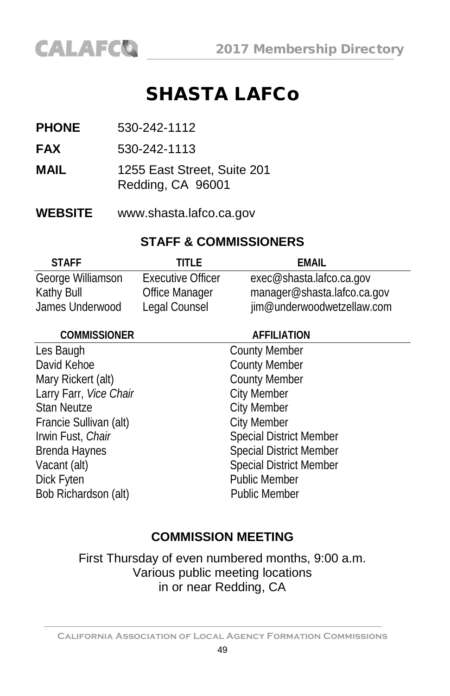### SHASTA LAFCo

- **PHONE** 530-242-1112
- **FAX** 530-242-1113
- **MAIL** 1255 East Street, Suite 201 Redding, CA 96001
- **WEBSITE** [www.shasta.lafco.ca.gov](http://www.shasta.lafco.ca.gov/)

#### **STAFF & COMMISSIONERS**

| <b>STAFF</b>      | TITI F                   | FMAIL                       |
|-------------------|--------------------------|-----------------------------|
| George Williamson | <b>Executive Officer</b> | exec@shasta.lafco.ca.gov    |
| Kathy Bull        | <b>Office Manager</b>    | manager@shasta.lafco.ca.gov |
| James Underwood   | Legal Counsel            | jim@underwoodwetzellaw.com  |
|                   |                          |                             |

| <b>AFFILIATION</b>             |
|--------------------------------|
| <b>County Member</b>           |
| <b>County Member</b>           |
| <b>County Member</b>           |
| <b>City Member</b>             |
| <b>City Member</b>             |
| <b>City Member</b>             |
| <b>Special District Member</b> |
| <b>Special District Member</b> |
| <b>Special District Member</b> |
| <b>Public Member</b>           |
| <b>Public Member</b>           |
|                                |

#### **COMMISSION MEETING**

First Thursday of even numbered months, 9:00 a.m. Various public meeting locations in or near Redding, CA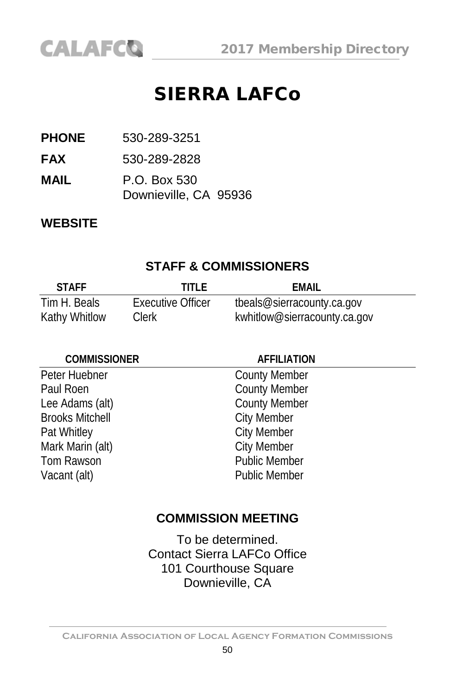

### SIERRA LAFCo

**PHONE** 530-289-3251

**FAX** 530-289-2828

**MAIL** P.O. Box 530 Downieville, CA 95936

#### **WEBSITE**

#### **STAFF & COMMISSIONERS**

| <b>STAFF</b>  | TITI F            | EMAIL                        |
|---------------|-------------------|------------------------------|
| Tim H. Beals  | Executive Officer | tbeals@sierracounty.ca.gov   |
| Kathy Whitlow | <b>Clerk</b>      | kwhitlow@sierracounty.ca.gov |

#### **COMMISSIONER AFFILIATION**

Paul Roen **County Member** Lee Adams (alt) County Member<br>Brooks Mitchell City Member **Brooks Mitchell** Pat Whitley<br>
Mark Marin (alt) City Member<br>
City Member Mark Marin (alt) Tom Rawson **Public Member** Vacant (alt) **Public Member** 

Peter Huebner County Member

#### **COMMISSION MEETING**

To be determined. Contact Sierra LAFCo Office 101 Courthouse Square Downieville, CA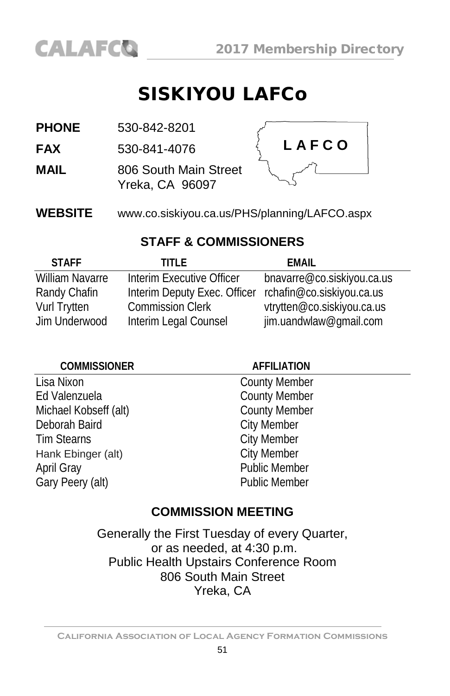

### SISKIYOU LAFCo

| <b>PHONE</b> | 530-842-8201 |
|--------------|--------------|
|              |              |

**FAX** 530-841-4076

**MAIL** 806 South Main Street Yreka, CA 96097



**WEBSITE** [www.co.siskiyou.ca.us/PHS/planning/LAFCO.aspx](http://www.co.siskiyou.ca.us/PHS/planning/LAFCO.aspx)

#### **STAFF & COMMISSIONERS**

| <b>STAFF</b>           | TITI F                       | FMAIL                      |
|------------------------|------------------------------|----------------------------|
| <b>William Navarre</b> | Interim Executive Officer    | bnavarre@co.siskiyou.ca.us |
| Randy Chafin           | Interim Deputy Exec. Officer | rchafin@co.siskiyou.ca.us  |
| Vurl Trytten           | <b>Commission Clerk</b>      | vtrytten@co.siskiyou.ca.us |
| Jim Underwood          | Interim Legal Counsel        | jim.uandwlaw@gmail.com     |

#### **COMMISSIONER AFFILIATION**

Lisa Nixon County Member Ed Valenzuela<br>
Michael Kobseff (alt) County Member<br>
County Member Michael Kobseff (alt) Deborah Baird City Member Tim Stearns<br>
Hank Ebinger (alt) Fig. 2015 City Member<br>
City Member Hank Ebinger (alt) April Gray **Public Member** Gary Peery (alt) **Public Member** 

#### **COMMISSION MEETING**

Generally the First Tuesday of every Quarter, or as needed, at 4:30 p.m. Public Health Upstairs Conference Room 806 South Main Street Yreka, CA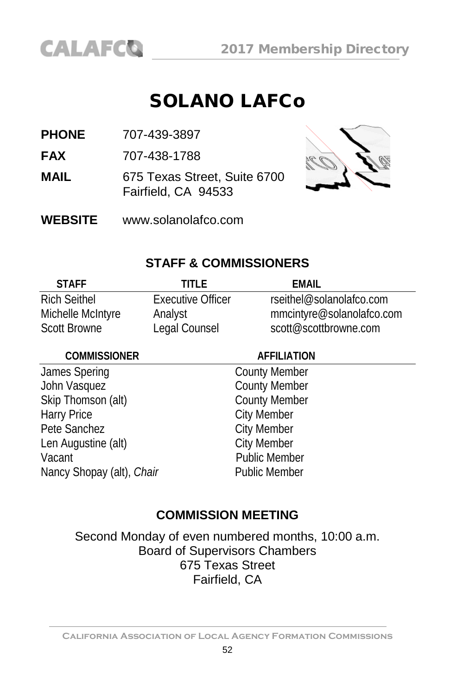

### SOLANO LAFCo

**PHONE** 707-439-3897

**FAX** 707-438-1788

**MAIL** 675 Texas Street, Suite 6700 Fairfield, CA 94533



**WEBSITE** [www.solanolafco.com](http://www.solanolafco.com/)

#### **STAFF & COMMISSIONERS**

| <b>STAFF</b>        | TITI F            | FMAIL                     |
|---------------------|-------------------|---------------------------|
| <b>Rich Seithel</b> | Executive Officer | rseithel@solanolafco.com  |
| Michelle McIntyre   | Analyst           | mmcintyre@solanolafco.com |
| <b>Scott Browne</b> | Legal Counsel     | scott@scottbrowne.com     |

#### **COMMISSIONER AFFILIATION**

James Spering **County Member** John Vasquez<br>
Skip Thomson (alt) County Member<br>
County Member Skip Thomson (alt)<br>Harry Price Pete Sanchez<br>
Len Augustine (alt) City Member<br>
City Member Len Augustine (alt) Vacant **Public Member** Nancy Shopay (alt), *Chair* Public Member

City Member

#### **COMMISSION MEETING**

Second Monday of even numbered months, 10:00 a.m. Board of Supervisors Chambers 675 Texas Street Fairfield, CA

**California Association of Local Agency Formation Commissions**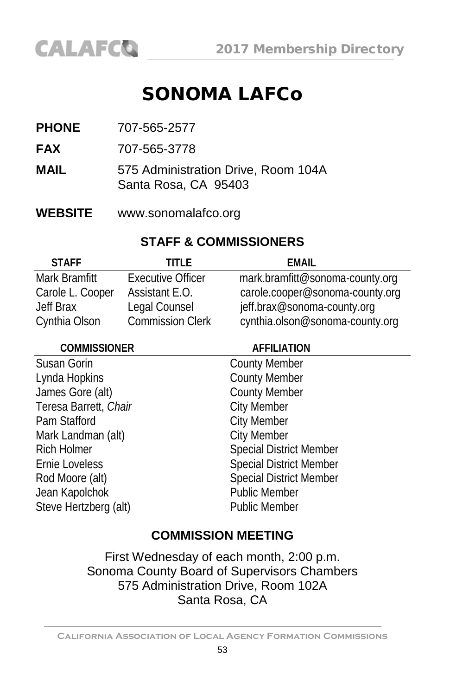### SONOMA LAFCo

- **PHONE** 707-565-2577
- **FAX** 707-565-3778
- **MAIL** 575 Administration Drive, Room 104A Santa Rosa, CA 95403
- **WEBSITE** [www.sonomalafco.org](http://www.sonomalafco.org/)

#### **STAFF & COMMISSIONERS**

| <b>STAFF</b>     | TITI F                   | FMAIL                           |
|------------------|--------------------------|---------------------------------|
| Mark Bramfitt    | <b>Executive Officer</b> | mark.bramfitt@sonoma-county.org |
| Carole L. Cooper | Assistant E.O.           | carole.cooper@sonoma-county.org |
| <b>Jeff Brax</b> | Legal Counsel            | jeff.brax@sonoma-county.org     |
| Cynthia Olson    | <b>Commission Clerk</b>  | cynthia.olson@sonoma-county.org |

| <b>COMMISSIONER</b>   | <b>AFFILIATION</b>             |  |
|-----------------------|--------------------------------|--|
| Susan Gorin           | <b>County Member</b>           |  |
| Lynda Hopkins         | <b>County Member</b>           |  |
| James Gore (alt)      | <b>County Member</b>           |  |
| Teresa Barrett, Chair | <b>City Member</b>             |  |
| Pam Stafford          | <b>City Member</b>             |  |
| Mark Landman (alt)    | <b>City Member</b>             |  |
| <b>Rich Holmer</b>    | <b>Special District Member</b> |  |
| Ernie Loveless        | <b>Special District Member</b> |  |
| Rod Moore (alt)       | <b>Special District Member</b> |  |
| Jean Kapolchok        | <b>Public Member</b>           |  |
| Steve Hertzberg (alt) | <b>Public Member</b>           |  |
|                       |                                |  |

#### **COMMISSION MEETING**

First Wednesday of each month, 2:00 p.m. Sonoma County Board of Supervisors Chambers 575 Administration Drive, Room 102A Santa Rosa, CA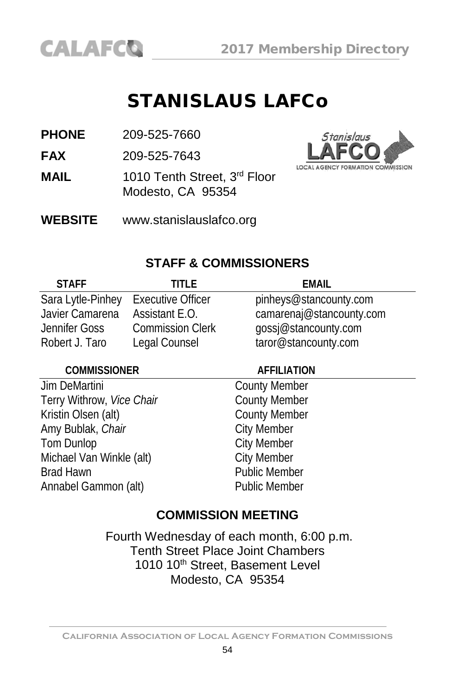### STANISLAUS LAFCo

**PHONE** 209-525-7660

**FAX** 209-525-7643

- **MAIL** 1010 Tenth Street, 3<sup>rd</sup> Floor Modesto, CA 95354
- **WEBSITE** [www.stanislauslafco.org](http://www.stanislauslafco.org/)



#### **STAFF & COMMISSIONERS**

| <b>STAFF</b>      | TITI F                   | FMAIL                    |
|-------------------|--------------------------|--------------------------|
| Sara Lytle-Pinhey | <b>Executive Officer</b> | pinheys@stancounty.com   |
| Javier Camarena   | Assistant E.O.           | camarenaj@stancounty.com |
| Jennifer Goss     | <b>Commission Clerk</b>  | gossj@stancounty.com     |
| Robert J. Taro    | Legal Counsel            | taror@stancounty.com     |

#### **COMMISSIONER AFFILIATION**

Jim DeMartini County Member<br>
Terry Withrow, *Vice Chair* County Member Terry Withrow, *Vice Chair*<br>
Kristin Olsen (alt) County Member Kristin Olsen (alt) County Meml<br>
Amy Bublak, Chair Charles City Member Amy Bublak, *Chair*<br>Tom Dunlop Michael Van Winkle (alt)<br>Brad Hawn Annabel Gammon (alt) Public Member

City Member<br>City Member Public Member

#### **COMMISSION MEETING**

Fourth Wednesday of each month, 6:00 p.m. Tenth Street Place Joint Chambers 1010 10<sup>th</sup> Street, Basement Level Modesto, CA 95354

**California Association of Local Agency Formation Commissions**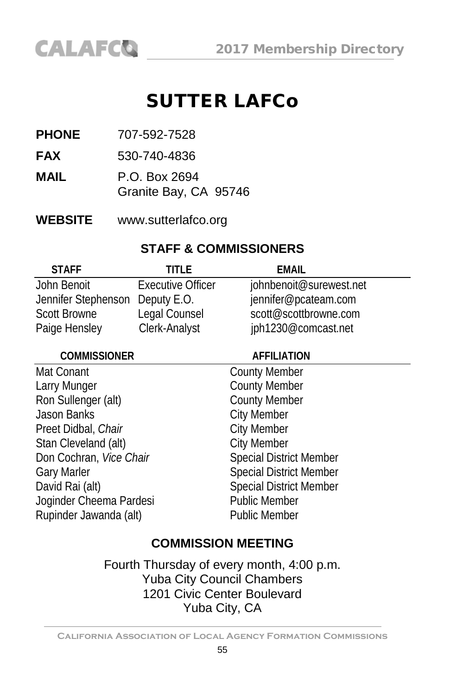### SUTTER LAFCo

- **PHONE** 707-592-7528
- **FAX** 530-740-4836
- **MAIL** P.O. Box 2694 Granite Bay, CA 95746
- **WEBSITE** [www.sutterlafco.org](http://www.sutterlafco.org/)

### **STAFF & COMMISSIONERS**

| <b>STAFF</b>                    | TITI F                   | FMAIL                   |
|---------------------------------|--------------------------|-------------------------|
| John Benoit                     | <b>Executive Officer</b> | johnbenoit@surewest.net |
| Jennifer Stephenson Deputy E.O. |                          | jennifer@pcateam.com    |
| <b>Scott Browne</b>             | Legal Counsel            | scott@scottbrowne.com   |
| Paige Hensley                   | Clerk-Analyst            | jph1230@comcast.net     |

| <b>COMMISSIONER</b>     | <b>AFFILIATION</b>             |  |
|-------------------------|--------------------------------|--|
| Mat Conant              | <b>County Member</b>           |  |
| Larry Munger            | <b>County Member</b>           |  |
| Ron Sullenger (alt)     | <b>County Member</b>           |  |
| Jason Banks             | <b>City Member</b>             |  |
| Preet Didbal, Chair     | <b>City Member</b>             |  |
| Stan Cleveland (alt)    | <b>City Member</b>             |  |
| Don Cochran, Vice Chair | <b>Special District Member</b> |  |
| <b>Gary Marler</b>      | <b>Special District Member</b> |  |
| David Rai (alt)         | <b>Special District Member</b> |  |
| Joginder Cheema Pardesi | <b>Public Member</b>           |  |
| Rupinder Jawanda (alt)  | <b>Public Member</b>           |  |
|                         |                                |  |

### **COMMISSION MEETING**

Fourth Thursday of every month, 4:00 p.m. Yuba City Council Chambers 1201 Civic Center Boulevard Yuba City, CA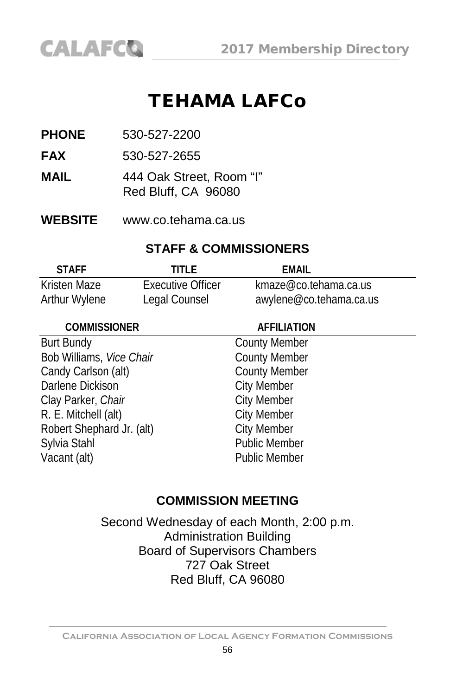### TEHAMA LAFCo

**PHONE** 530-527-2200

**FAX** 530-527-2655

**MAIL** 444 Oak Street, Room "I" Red Bluff, CA 96080

**WEBSITE** [www.co.tehama.ca.us](http://www.co.tehama.ca.us/) 

#### **STAFF & COMMISSIONERS**

| <b>STAFF</b>  | TITI F            | EMAIL                   |
|---------------|-------------------|-------------------------|
| Kristen Maze  | Executive Officer | kmaze@co.tehama.ca.us   |
| Arthur Wylene | Legal Counsel     | awylene@co.tehama.ca.us |

| <b>COMMISSIONER</b>       | <b>AFFILIATION</b>   |  |
|---------------------------|----------------------|--|
| <b>Burt Bundy</b>         | <b>County Member</b> |  |
| Bob Williams, Vice Chair  | <b>County Member</b> |  |
| Candy Carlson (alt)       | <b>County Member</b> |  |
| Darlene Dickison          | <b>City Member</b>   |  |
| Clay Parker, Chair        | <b>City Member</b>   |  |
| R. E. Mitchell (alt)      | <b>City Member</b>   |  |
| Robert Shephard Jr. (alt) | <b>City Member</b>   |  |
| Sylvia Stahl              | <b>Public Member</b> |  |
| Vacant (alt)              | <b>Public Member</b> |  |

#### **COMMISSION MEETING**

Second Wednesday of each Month, 2:00 p.m. Administration Building Board of Supervisors Chambers 727 Oak Street Red Bluff, CA 96080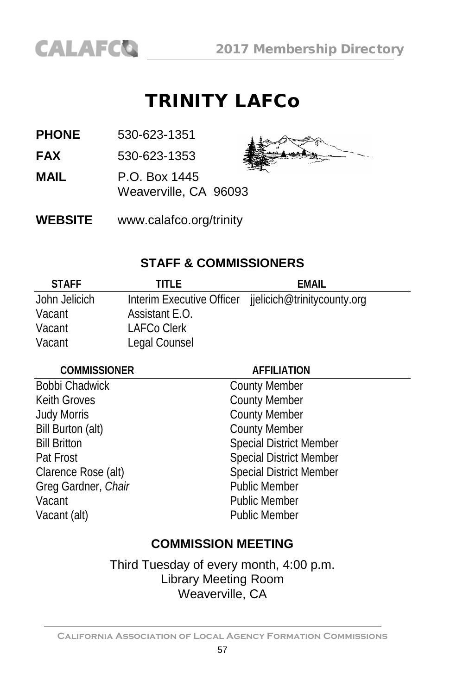### TRINITY LAFCo

**PHONE** 530-623-1351

**FAX** 530-623-1353

**MAIL** P.O. Box 1445

Weaverville, CA 96093



**WEBSITE** [www.calafco.org/trinity](http://www.calafco.org/trinity)

### **STAFF & COMMISSIONERS**

| <b>STAFF</b>  | TITI F         | FMAIL                                                 |
|---------------|----------------|-------------------------------------------------------|
| John Jelicich |                | Interim Executive Officer jielicich@trinitycounty.org |
| Vacant        | Assistant E.O. |                                                       |
| Vacant        | LAFCo Clerk    |                                                       |
| Vacant        | Legal Counsel  |                                                       |

#### **COMMISSIONER AFFILIATION**

Bobbi Chadwick<br>
Keith Groves<br>
County Member<br>
County Member Judy Morris County Member Bill Burton (alt) County Member Greg Gardner, Chair Vacant Public Member Vacant (alt) **Public Member** 

County Member Bill Britton Special District Member Pat Frost Special District Member Clarence Rose (alt) Special District Member<br>
Greg Gardner, Chair<br>
Special District Member

### **COMMISSION MEETING**

Third Tuesday of every month, 4:00 p.m. Library Meeting Room Weaverville, CA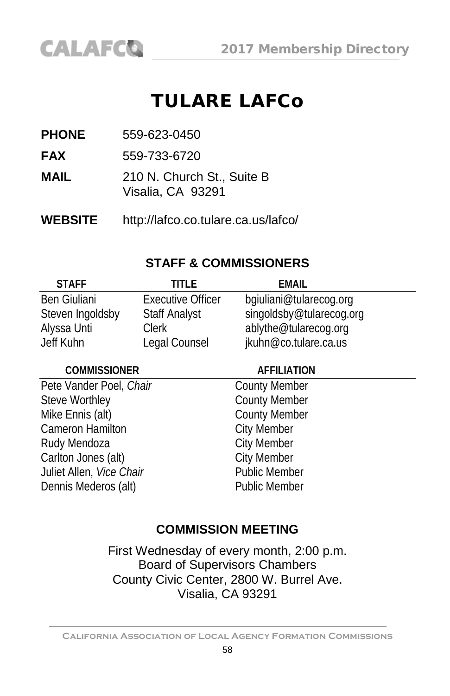### TULARE LAFCo

**PHONE** 559-623-0450

**CALAFCO** 

**FAX** 559-733-6720

- **MAIL** 210 N. Church St., Suite B Visalia, CA 93291
- **WEBSITE** <http://lafco.co.tulare.ca.us/lafco/>

#### **STAFF & COMMISSIONERS**

| <b>STAFF</b>     | TITI F                   | FMAIL                    |
|------------------|--------------------------|--------------------------|
| Ben Giuliani     | <b>Executive Officer</b> | bgiuliani@tularecog.org  |
| Steven Ingoldsby | <b>Staff Analyst</b>     | singoldsby@tularecog.org |
| Alyssa Unti      | <b>Clerk</b>             | ablythe@tularecog.org    |
| Jeff Kuhn        | Legal Counsel            | jkuhn@co.tulare.ca.us    |

#### **COMMISSIONER AFFILIATION**

Pete Vander Poel, *Chair* County Member Steve Worthley **County Member** Mike Ennis (alt) County Member Cameron Hamilton<br>
Rudy Mendoza<br>
City Member Rudy Mendoza<br>
City Member<br>
Carlton Jones (alt)<br>
City Member Carlton Jones (alt) **Juliet Allen,** *Vice Chair* Public Member Dennis Mederos (alt) entitled a public Member

### **COMMISSION MEETING**

First Wednesday of every month, 2:00 p.m. Board of Supervisors Chambers County Civic Center, 2800 W. Burrel Ave. Visalia, CA 93291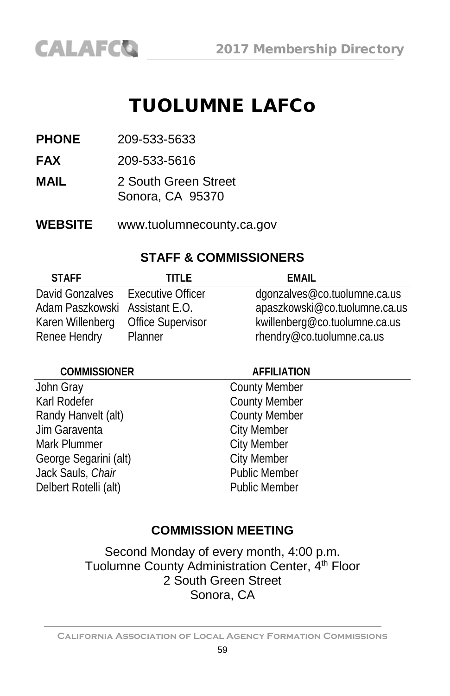## TUOLUMNE LAFCo

**PHONE** 209-533-5633

**FAX** 209-533-5616

- **MAIL** 2 South Green Street Sonora, CA 95370
- **WEBSITE** www.tuolumnecounty.ca.gov

#### **STAFF & COMMISSIONERS**

| <b>STAFF</b>                      | TITI F                   | FMAIL                         |
|-----------------------------------|--------------------------|-------------------------------|
| David Gonzalves Executive Officer |                          | dgonzalves@co.tuolumne.ca.us  |
| Adam Paszkowski Assistant E.O.    |                          | apaszkowski@co.tuolumne.ca.us |
| Karen Willenberg                  | <b>Office Supervisor</b> | kwillenberg@co.tuolumne.ca.us |
| Renee Hendry                      | Planner                  | rhendry@co.tuolumne.ca.us     |

#### **COMMISSIONER AFFILIATION**

John Gray County Member Karl Rodefer **County Member** Randy Hanvelt (alt) County Member Jim Garaventa City Member Mark Plummer **City Member** George Segarini (alt)<br>Lack Sauls. Chair<br>Chair Chair Chair Public Member Jack Sauls, Chair Delbert Rotelli (alt) **Public Member** 

#### **COMMISSION MEETING**

Second Monday of every month, 4:00 p.m. Tuolumne County Administration Center, 4<sup>th</sup> Floor 2 South Green Street Sonora, CA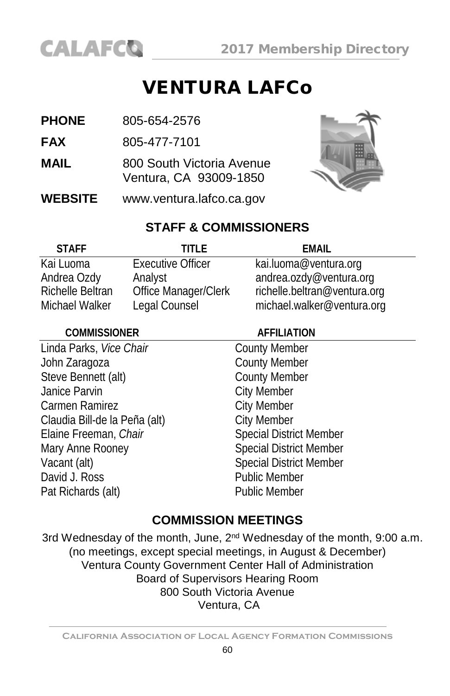

### **VENTURA LAFCo**

- **PHONE** 805-654-2576
- **FAX** 805-477-7101
- **MAIL** 800 South Victoria Avenue Ventura, CA 93009-1850
- **WEBSITE** [www.ventura.lafco.ca.gov](http://www.ventura.lafco.ca.gov/)



### **STAFF & COMMISSIONERS**

| <b>STAFF</b>            | TITI F                   | FMAIL                        |
|-------------------------|--------------------------|------------------------------|
| Kai Luoma               | <b>Executive Officer</b> | kai.luoma@ventura.org        |
| Andrea Ozdy             | Analyst                  | andrea.ozdy@ventura.org      |
| <b>Richelle Beltran</b> | Office Manager/Clerk     | richelle.beltran@ventura.org |
| Michael Walker          | Legal Counsel            | michael.walker@ventura.org   |
|                         |                          |                              |

#### **COMMISSIONER AFFILIATION** Linda Parks, Vice Chair County Member John Zaragoza<br>
Steve Bennett (alt) County Member<br>
County Member Steve Bennett (alt) Janice Parvin **City Member** Carmen Ramirez **Carmen Ramirez** City Member Claudia Bill-de la Peña (alt) City Member Elaine Freeman, *Chair* Special District Member Mary Anne Rooney Special District Member Vacant (alt) Special District Member David J. Ross **Public Member** Pat Richards (alt) Public Member

### **COMMISSION MEETINGS**

3rd Wednesday of the month, June, 2<sup>nd</sup> Wednesday of the month, 9:00 a.m. (no meetings, except special meetings, in August & December) Ventura County Government Center Hall of Administration Board of Supervisors Hearing Room 800 South Victoria Avenue Ventura, CA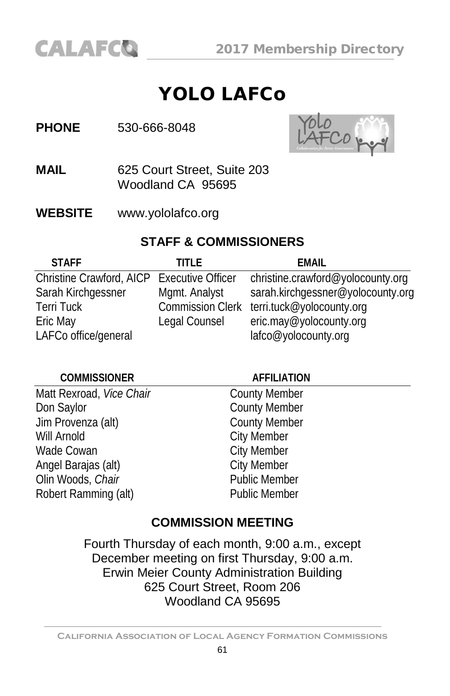### YOLO LAFCo

#### **PHONE** 530-666-8048



- **MAIL** 625 Court Street, Suite 203 Woodland CA 95695
- **WEBSITE** [www.yololafco.org](http://www.yololafco.org/)

#### **STAFF & COMMISSIONERS**

| <b>STAFF</b>                               | TITI F                  | <b>EMAIL</b>                      |
|--------------------------------------------|-------------------------|-----------------------------------|
| Christine Crawford, AICP Executive Officer |                         | christine.crawford@yolocounty.org |
| Sarah Kirchgessner                         | Mgmt. Analyst           | sarah.kirchgessner@yolocounty.org |
| <b>Terri Tuck</b>                          | <b>Commission Clerk</b> | terri.tuck@yolocounty.org         |
| Eric May                                   | Legal Counsel           | eric.may@yolocounty.org           |
| LAFCo office/general                       |                         | lafco@yolocounty.org              |

| <b>COMMISSIONER</b>      | <b>AFFILIATION</b>   |  |
|--------------------------|----------------------|--|
| Matt Rexroad, Vice Chair | <b>County Member</b> |  |
| Don Saylor               | <b>County Member</b> |  |
| Jim Provenza (alt)       | <b>County Member</b> |  |
| Will Arnold              | <b>City Member</b>   |  |
| Wade Cowan               | <b>City Member</b>   |  |
| Angel Barajas (alt)      | <b>City Member</b>   |  |
| Olin Woods, Chair        | <b>Public Member</b> |  |
| Robert Ramming (alt)     | <b>Public Member</b> |  |
|                          |                      |  |

### **COMMISSION MEETING**

Fourth Thursday of each month, 9:00 a.m., except December meeting on first Thursday, 9:00 a.m. Erwin Meier County Administration Building 625 Court Street, Room 206 Woodland CA 95695

**California Association of Local Agency Formation Commissions**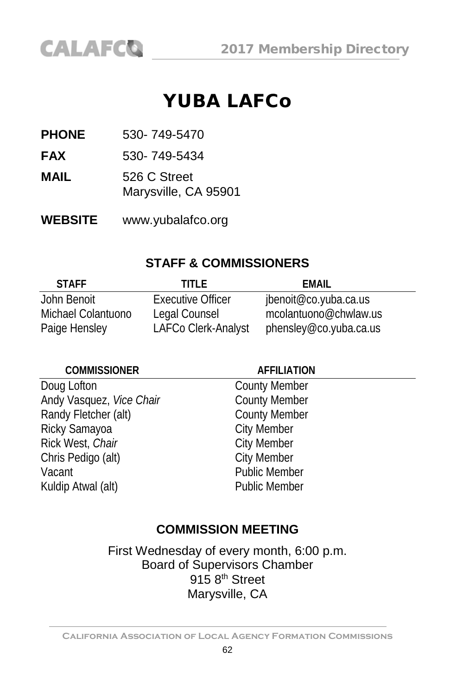

### YUBA LAFCo

**PHONE** 530- 749-5470

**FAX** 530- 749-5434

**MAIL** 526 C Street Marysville, CA 95901

**WEBSITE** www.yubalafco.org

#### **STAFF & COMMISSIONERS**

| <b>STAFF</b>       | TITI F                   | FMAIL                  |
|--------------------|--------------------------|------------------------|
| John Benoit        | <b>Executive Officer</b> | jbenoit@co.yuba.ca.us  |
| Michael Colantuono | Legal Counsel            | mcolantuono@chwlaw.us  |
| Paige Hensley      | LAFCo Clerk-Analyst      | phensley@co.yuba.ca.us |

#### **COMMISSIONER AFFILIATION**

Doug Lofton County Member<br>
Andy Vasquez, Vice Chair County Member Andy Vasquez, *Vice Chair* County Member<br>
Randy Fletcher (alt) County Member Randy Fletcher (alt) County Meml<br>Ricky Samayoa City Member Ricky Samayoa City Member<br>
Rick West, Chair Child City Member Rick West, *Chair* City Member<br>
Chris Pedigo (alt) Chris Pedigo (alt) Chris Pedigo (alt) Vacant **Public Member** Kuldip Atwal (alt) **Public Member** 

#### **COMMISSION MEETING**

First Wednesday of every month, 6:00 p.m. Board of Supervisors Chamber  $915.8<sup>th</sup>$  Street Marysville, CA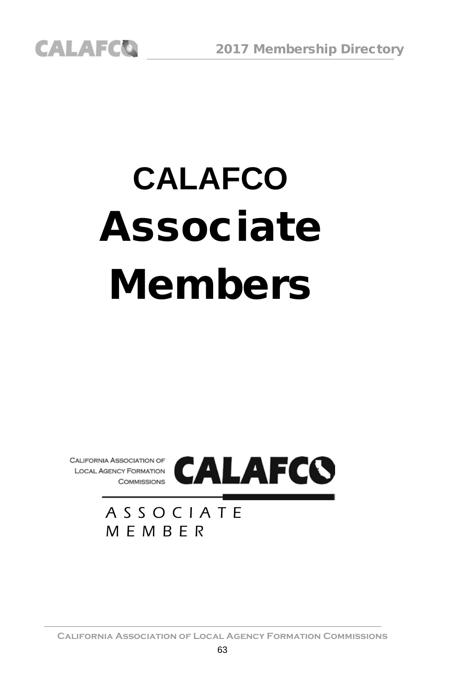# **CALAFCO** Associate Members



ASSOCIATE MEMBER

**California Association of Local Agency Formation Commissions**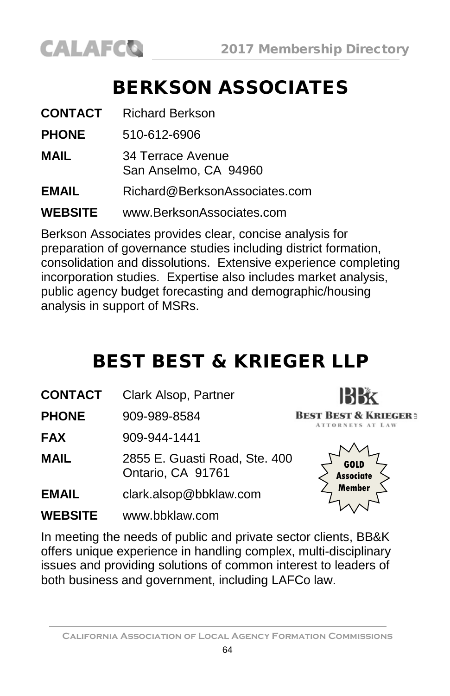

## BERKSON ASSOCIATES

| <b>CONTACT</b> | <b>Richard Berkson</b>                     |
|----------------|--------------------------------------------|
| <b>PHONE</b>   | 510-612-6906                               |
| MAIL           | 34 Terrace Avenue<br>San Anselmo, CA 94960 |
| <b>EMAIL</b>   | Richard@BerksonAssociates.com              |
| <b>WEBSITE</b> | www.BerksonAssociates.com                  |

Berkson Associates provides clear, concise analysis for preparation of governance studies including district formation, consolidation and dissolutions. Extensive experience completing incorporation studies. Expertise also includes market analysis, public agency budget forecasting and demographic/housing analysis in support of MSRs.

## BEST BEST & KRIEGER LLP

**CONTACT** Clark Alsop, Partner

**PHONE** 909-989-8584

**FAX** 909-944-1441

**MAIL** 2855 E. Guasti Road, Ste. 400 Ontario, CA 91761

- **EMAIL** [clark.alsop@bbklaw.com](mailto:clark.alsop@bbklaw.com)
- **WEBSITE** www.bbklaw.com



**IBBX BEST BEST & KRIEGER:** ATTORNEYS AT LAW

In meeting the needs of public and private sector clients, BB&K offers unique experience in handling complex, multi-disciplinary issues and providing solutions of common interest to leaders of both business and government, including LAFCo law.

**California Association of Local Agency Formation Commissions**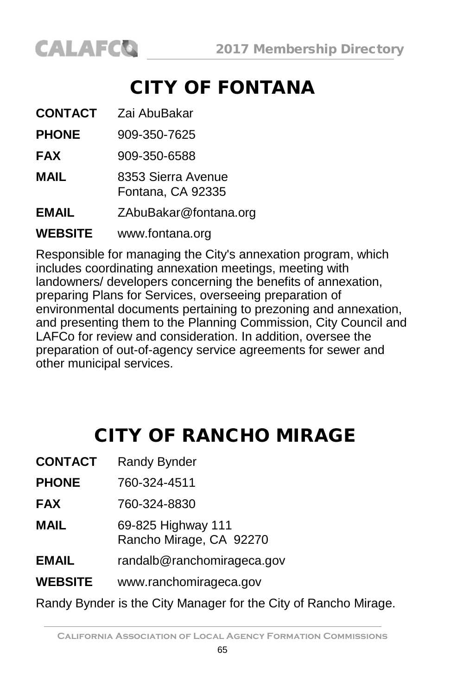## CITY OF FONTANA

| <b>CONTACT</b> | Zai AbuBakar                            |
|----------------|-----------------------------------------|
| <b>PHONE</b>   | 909-350-7625                            |
| <b>FAX</b>     | 909-350-6588                            |
| <b>MAIL</b>    | 8353 Sierra Avenue<br>Fontana, CA 92335 |
| <b>EMAIL</b>   | ZAbuBakar@fontana.org                   |
| <b>WEBSITE</b> | www.fontana.org                         |

Responsible for managing the City's annexation program, which includes coordinating annexation meetings, meeting with landowners/ developers concerning the benefits of annexation, preparing Plans for Services, overseeing preparation of environmental documents pertaining to prezoning and annexation, and presenting them to the Planning Commission, City Council and LAFCo for review and consideration. In addition, oversee the preparation of out-of-agency service agreements for sewer and other municipal services.

## CITY OF RANCHO MIRAGE

| <b>CONTACT</b> | <b>Randy Bynder</b>                                             |
|----------------|-----------------------------------------------------------------|
| <b>PHONE</b>   | 760-324-4511                                                    |
| <b>FAX</b>     | 760-324-8830                                                    |
| <b>MAIL</b>    | 69-825 Highway 111<br>Rancho Mirage, CA 92270                   |
| <b>EMAIL</b>   | randalb@ranchomirageca.gov                                      |
| <b>WEBSITE</b> | www.ranchomirageca.gov                                          |
|                | Randy Bynder is the City Manager for the City of Rancho Mirage. |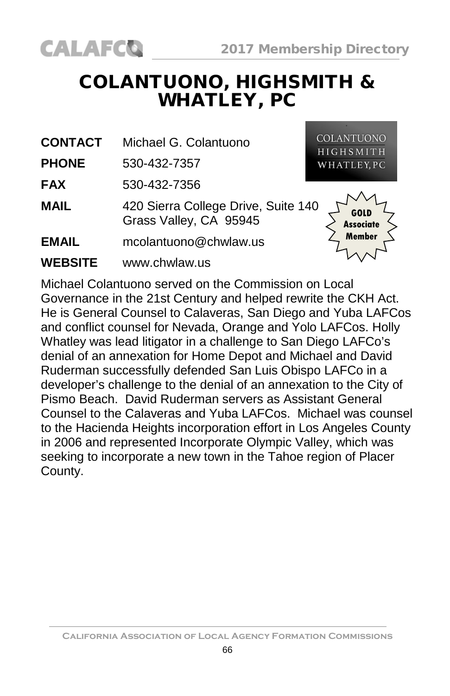### COLANTUONO, HIGHSMITH & WHATLEY, PC

**CONTACT** Michael G. Colantuono

**PHONE** 530-432-7357

**CALAFCO** 

**FAX** 530-432-7356

**MAIL** 420 Sierra College Drive, Suite 140 Grass Valley, CA 95945

**EMAIL** mcolantuono@chwlaw.us

**WEBSITE** [www.chwlaw.us](http://www.cllaw.us/)

**COLANTUONO HIGHSMITH** WHATLEY, PC

> **GOLD Associate Member**

Michael Colantuono served on the Commission on Local Governance in the 21st Century and helped rewrite the CKH Act. He is General Counsel to Calaveras, San Diego and Yuba LAFCos and conflict counsel for Nevada, Orange and Yolo LAFCos. Holly Whatley was lead litigator in a challenge to San Diego LAFCo's denial of an annexation for Home Depot and Michael and David Ruderman successfully defended San Luis Obispo LAFCo in a developer's challenge to the denial of an annexation to the City of Pismo Beach. David Ruderman servers as Assistant General Counsel to the Calaveras and Yuba LAFCos. Michael was counsel to the Hacienda Heights incorporation effort in Los Angeles County in 2006 and represented Incorporate Olympic Valley, which was seeking to incorporate a new town in the Tahoe region of Placer County.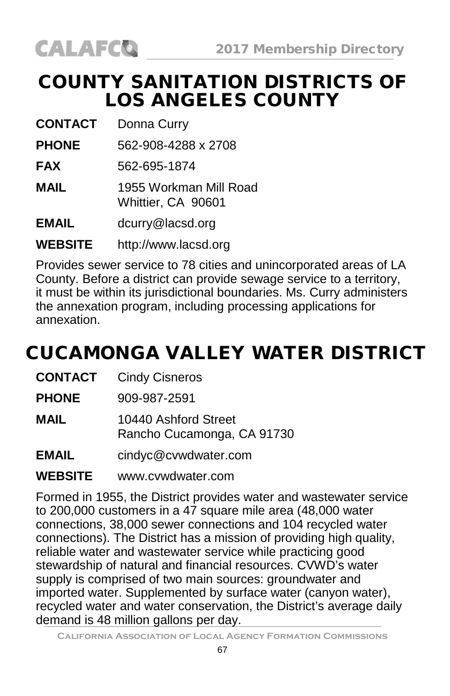

### COUNTY SANITATION DISTRICTS OF LOS ANGELES COUNTY

**CONTACT** Donna Curry

**PHONE** 562-908-4288 x 2708

**FAX** 562-695-1874

**MAIL** 1955 Workman Mill Road Whittier, CA 90601

**EMAIL** [dcurry@lacsd.org](mailto:dcurry@lacsd.org)

**WEBSITE** [http://www.lacsd.org](http://www.lacsd.org/)

Provides sewer service to 78 cities and unincorporated areas of LA County. Before a district can provide sewage service to a territory, it must be within its jurisdictional boundaries. Ms. Curry administers the annexation program, including processing applications for annexation.

## CUCAMONGA VALLEY WATER DISTRICT

**CONTACT** Cindy Cisneros

**PHONE** 909-987-2591

**MAIL** 10440 Ashford Street Rancho Cucamonga, CA 91730

**EMAIL** [cindyc@cvwdwater.com](mailto:baraccoplanner@comcast.net)

#### **WEBSITE** [www.cvwdwater.com](http://www.emulberg.com/)

Formed in 1955, the District provides water and wastewater service to 200,000 customers in a 47 square mile area (48,000 water connections, 38,000 sewer connections and 104 recycled water connections). The District has a mission of providing high quality, reliable water and wastewater service while practicing good stewardship of natural and financial resources. CVWD's water supply is comprised of two main sources: groundwater and imported water. Supplemented by surface water (canyon water), recycled water and water conservation, the District's average daily demand is 48 million gallons per day.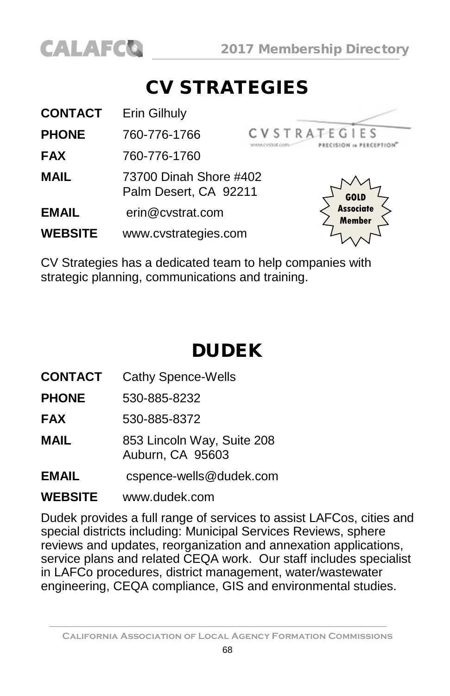

### CV STRATEGIES

| <b>CONTACT</b> | Erin Gilhuly                                    |                            |
|----------------|-------------------------------------------------|----------------------------|
| <b>PHONE</b>   | 760-776-1766                                    | <b>CVSTRATEGIES</b>        |
| <b>FAX</b>     | 760-776-1760                                    |                            |
| <b>MAIL</b>    | 73700 Dinah Shore #402<br>Palm Desert, CA 92211 | GOLD                       |
| <b>EMAIL</b>   | erin@cvstrat.com                                | <b>Associate</b><br>Member |
| <b>WEBSITE</b> | www.cvstrategies.com                            |                            |

CV Strategies has a dedicated team to help companies with strategic planning, communications and training.

## DUDEK

**CONTACT** Cathy Spence-Wells

**PHONE** 530-885-8232

**FAX** 530-885-8372

**MAIL** 853 Lincoln Way, Suite 208 Auburn, CA 95603

**EMAIL** cspence-wells@dudek.com

#### **WEBSITE** [www.dudek.com](http://www.dudek.com/)

Dudek provides a full range of services to assist LAFCos, cities and special districts including: Municipal Services Reviews, sphere reviews and updates, reorganization and annexation applications, service plans and related CEQA work. Our staff includes specialist in LAFCo procedures, district management, water/wastewater engineering, CEQA compliance, GIS and environmental studies.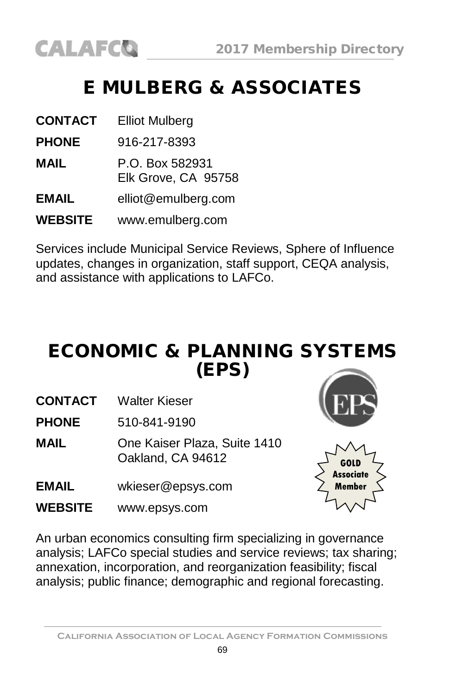## E MULBERG & ASSOCIATES

| <b>CONTACT</b> | <b>Elliot Mulberg</b>                  |
|----------------|----------------------------------------|
| <b>PHONE</b>   | 916-217-8393                           |
| MAIL           | P.O. Box 582931<br>Elk Grove, CA 95758 |
| <b>EMAIL</b>   | elliot@emulberg.com                    |
| <b>WEBSITE</b> | www.emulberg.com                       |

Services include Municipal Service Reviews, Sphere of Influence updates, changes in organization, staff support, CEQA analysis, and assistance with applications to LAFCo.

### ECONOMIC & PLANNING SYSTEMS (EPS)

- **CONTACT** Walter Kieser
- **PHONE** 510-841-9190
- **MAIL** One Kaiser Plaza, Suite 1410 Oakland, CA 94612
- **EMAIL** [wkieser@epsys.com](mailto:wkieser@epsys.com)
- **WEBSITE** [www.epsys.com](http://www.epsys.com/)





An urban economics consulting firm specializing in governance analysis; LAFCo special studies and service reviews; tax sharing; annexation, incorporation, and reorganization feasibility; fiscal analysis; public finance; demographic and regional forecasting.

**California Association of Local Agency Formation Commissions**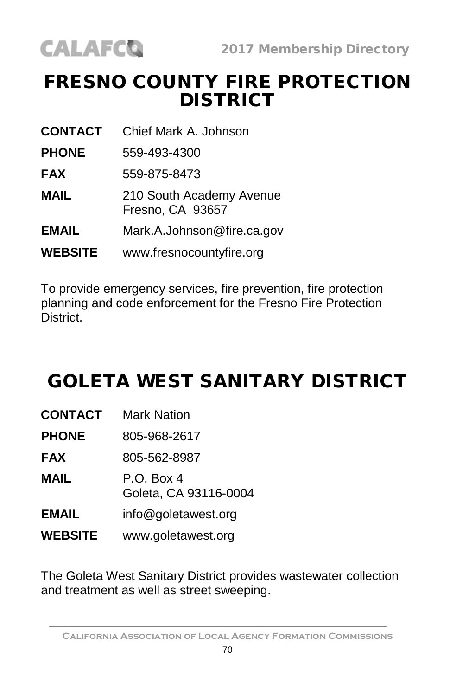### FRESNO COUNTY FIRE PROTECTION DISTRICT

**CONTACT** Chief Mark A. Johnson

**PHONE** 559-493-4300

- **FAX** 559-875-8473
- **MAIL** 210 South Academy Avenue Fresno, CA 93657
- **EMAIL** [Mark.A.Johnson@fire.ca.gov](mailto:Keith.Larkin@fire.ca.gov)
- **WEBSITE** [www.fresnocountyfire.org](http://www.fresnocountyfire.org/)

To provide emergency services, fire prevention, fire protection planning and code enforcement for the Fresno Fire Protection District.

### GOLETA WEST SANITARY DISTRICT

| <b>CONTACT</b> | <b>Mark Nation</b>                  |
|----------------|-------------------------------------|
| <b>PHONE</b>   | 805-968-2617                        |
| <b>FAX</b>     | 805-562-8987                        |
| MAIL           | P.O. Box 4<br>Goleta, CA 93116-0004 |
| <b>EMAIL</b>   | info@goletawest.org                 |
| <b>WEBSITE</b> | www.goletawest.org                  |

The Goleta West Sanitary District provides wastewater collection and treatment as well as street sweeping.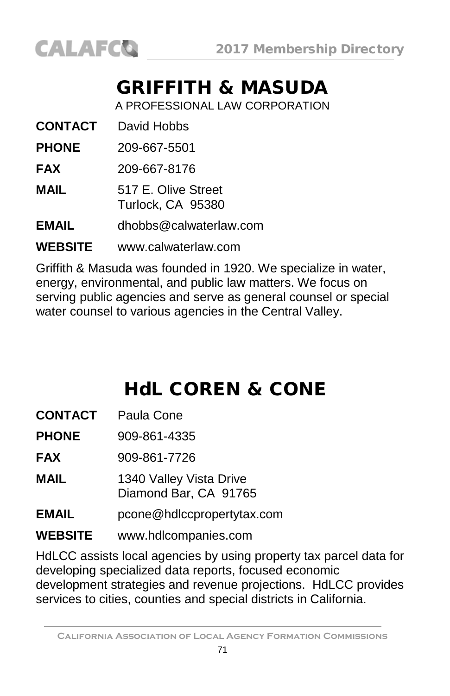

### GRIFFITH & MASUDA

A PROFESSIONAL LAW CORPORATION

**CONTACT** David Hobbs

**PHONE** 209-667-5501

**FAX** 209-667-8176

**MAIL** 517 E. Olive Street Turlock, CA 95380

**EMAIL** [dhobbs@calwaterlaw.com](mailto:dhobbs@calwaterlaw.com)

**WEBSITE** [www.calwaterlaw.com](http://www.calwaterlaw.com/)

Griffith & Masuda was founded in 1920. We specialize in water, energy, environmental, and public law matters. We focus on serving public agencies and serve as general counsel or special water counsel to various agencies in the Central Valley.

## HdL COREN & CONE

**CONTACT** Paula Cone

**PHONE** 909-861-4335

**FAX** 909-861-7726

**MAIL** 1340 Valley Vista Drive Diamond Bar, CA 91765

**EMAIL** [pcone@hdlccpropertytax.com](mailto:pcone@hdlccpropertytax.com)

**WEBSITE** [www.hdlcompanies.com](http://www.ci.rancho-mirage.ca.us/)

HdLCC assists local agencies by using property tax parcel data for developing specialized data reports, focused economic development strategies and revenue projections. HdLCC provides services to cities, counties and special districts in California.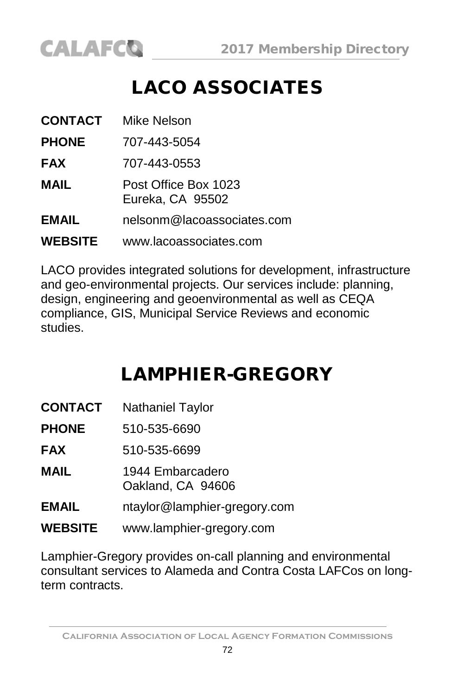## LACO ASSOCIATES

| CONTACT        | Mike Nelson                              |
|----------------|------------------------------------------|
| <b>PHONE</b>   | 707-443-5054                             |
| <b>FAX</b>     | 707-443-0553                             |
| MAIL           | Post Office Box 1023<br>Eureka, CA 95502 |
| <b>EMAIL</b>   | nelsonm@lacoassociates.com               |
| <b>WEBSITE</b> | www.lacoassociates.com                   |

LACO provides integrated solutions for development, infrastructure and geo-environmental projects. Our services include: planning, design, engineering and geoenvironmental as well as CEQA compliance, GIS, Municipal Service Reviews and economic studies.

## LAMPHIER-GREGORY

| <b>CONTACT</b> | <b>Nathaniel Taylor</b>               |
|----------------|---------------------------------------|
| <b>PHONE</b>   | 510-535-6690                          |
| FAX            | 510-535-6699                          |
| MAIL           | 1944 Embarcadero<br>Oakland, CA 94606 |
| EMAIL          | ntaylor@lamphier-gregory.com          |
| <b>WEBSITE</b> | www.lamphier-gregory.com              |

Lamphier-Gregory provides on-call planning and environmental consultant services to Alameda and Contra Costa LAFCos on longterm contracts.

**California Association of Local Agency Formation Commissions**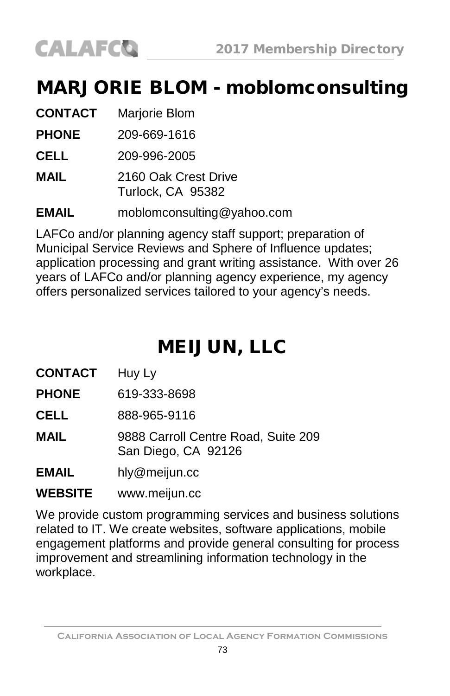# **CALAFCO**

#### MARJORIE BLOM - moblomconsulting

| <b>CONTACT</b> | Marjorie Blom                             |
|----------------|-------------------------------------------|
| <b>PHONE</b>   | 209-669-1616                              |
| CELL           | 209-996-2005                              |
| MAIL           | 2160 Oak Crest Drive<br>Turlock, CA 95382 |
| <b>EMAIL</b>   | moblomconsulting@yahoo.com                |

LAFCo and/or planning agency staff support; preparation of Municipal Service Reviews and Sphere of Influence updates; application processing and grant writing assistance. With over 26 years of LAFCo and/or planning agency experience, my agency offers personalized services tailored to your agency's needs.

## MEIJUN, LLC

**CONTACT** Huy Ly

**PHONE** 619-333-8698

**CELL** 888-965-9116

**MAIL** 9888 Carroll Centre Road, Suite 209 San Diego, CA 92126

**EMAIL** [hly@meijun.cc](mailto:hly@meijun.cc)

**WEBSITE** [www.meijun.cc](http://www.meijun.cc/)

We provide custom programming services and business solutions related to IT. We create websites, software applications, mobile engagement platforms and provide general consulting for process improvement and streamlining information technology in the workplace.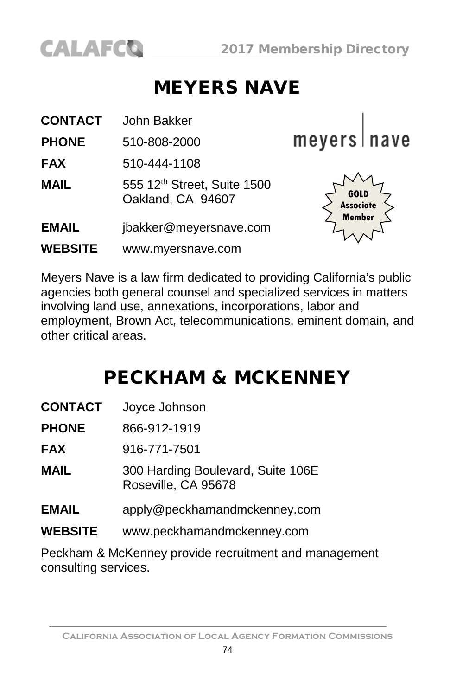

#### MEYERS NAVE

| <b>CONTACT</b> | John Bakker                                      |                          |
|----------------|--------------------------------------------------|--------------------------|
| <b>PHONE</b>   | 510-808-2000                                     | meyers nave              |
| <b>FAX</b>     | 510-444-1108                                     |                          |
| <b>MAIL</b>    | 555 12th Street, Suite 1500<br>Oakland, CA 94607 | GOLD<br><b>Associate</b> |
| <b>EMAIL</b>   | jbakker@meyersnave.com                           | Member                   |
| <b>WEBSITE</b> | www.myersnave.com                                |                          |

Meyers Nave is a law firm dedicated to providing California's public agencies both general counsel and specialized services in matters involving land use, annexations, incorporations, labor and employment, Brown Act, telecommunications, eminent domain, and other critical areas.

#### PECKHAM & MCKENNEY

| <b>CONTACT</b> | Joyce Johnson |
|----------------|---------------|
|----------------|---------------|

- **PHONE** 866-912-1919
- **FAX** 916-771-7501
- **MAIL** 300 Harding Boulevard, Suite 106E Roseville, CA 95678
- **EMAIL** [apply@peckhamandmckenney.com](mailto:wross@lawross.com)
- **WEBSITE** www.peckhamandmckenney.com

Peckham & McKenney provide recruitment and management consulting services.

**California Association of Local Agency Formation Commissions**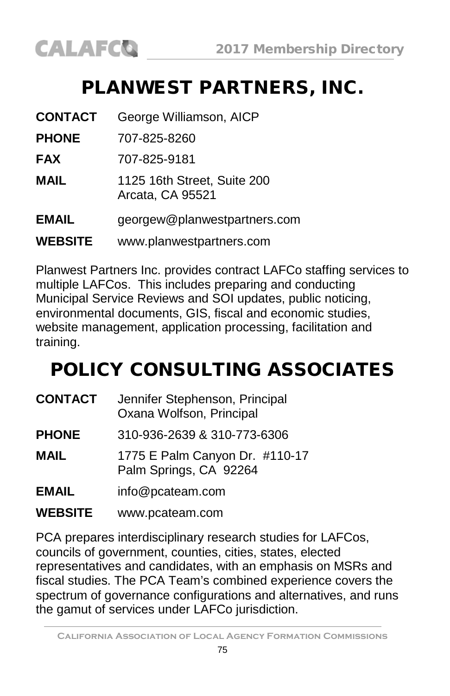#### PLANWEST PARTNERS, INC.

| <b>CONTACT</b> | George Williamson, AICP                         |
|----------------|-------------------------------------------------|
| <b>PHONE</b>   | 707-825-8260                                    |
| <b>FAX</b>     | 707-825-9181                                    |
| <b>MAIL</b>    | 1125 16th Street, Suite 200<br>Arcata, CA 95521 |
| <b>EMAIL</b>   | georgew@planwestpartners.com                    |
| <b>WEBSITE</b> | www.planwestpartners.com                        |

Planwest Partners Inc. provides contract LAFCo staffing services to multiple LAFCos. This includes preparing and conducting Municipal Service Reviews and SOI updates, public noticing, environmental documents, GIS, fiscal and economic studies, website management, application processing, facilitation and training.

## POLICY CONSULTING ASSOCIATES

| <b>CONTACT</b> | Jennifer Stephenson, Principal<br>Oxana Wolfson, Principal |
|----------------|------------------------------------------------------------|
| <b>PHONE</b>   | 310-936-2639 & 310-773-6306                                |
| MAIL           | 1775 E Palm Canyon Dr. #110-17<br>Palm Springs, CA 92264   |
| EMAIL          | info@pcateam.com                                           |
|                |                                                            |

**WEBSITE** [www.pcateam.com](http://www.pcateam.com/)

PCA prepares interdisciplinary research studies for LAFCos, councils of government, counties, cities, states, elected representatives and candidates, with an emphasis on MSRs and fiscal studies. The PCA Team's combined experience covers the spectrum of governance configurations and alternatives, and runs the gamut of services under LAFCo jurisdiction.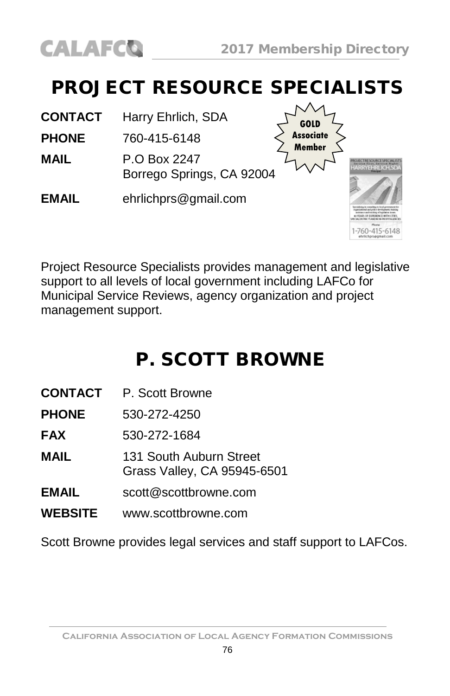

## PROJECT RESOURCE SPECIALISTS

**CONTACT** Harry Ehrlich, SDA

**PHONE** 760-415-6148

**MAIL** P.O Box 2247 Borrego Springs, CA 92004

**EMAIL** [ehrlichprs@gmail.com](mailto:ehrlichprs@gmail.com)



Project Resource Specialists provides management and legislative support to all levels of local government including LAFCo for Municipal Service Reviews, agency organization and project management support.

## P. SCOTT BROWNE

**CONTACT** P. Scott Browne

**PHONE** 530-272-4250

**FAX** 530-272-1684

**MAIL** 131 South Auburn Street Grass Valley, CA 95945-6501

- **EMAIL** [scott@scottbrowne.com](mailto:scott@scottbrowne.com)
- **WEBSITE** [www.scottbrowne.com](http://www.scottbrowne.com/)

Scott Browne provides legal services and staff support to LAFCos.

**California Association of Local Agency Formation Commissions**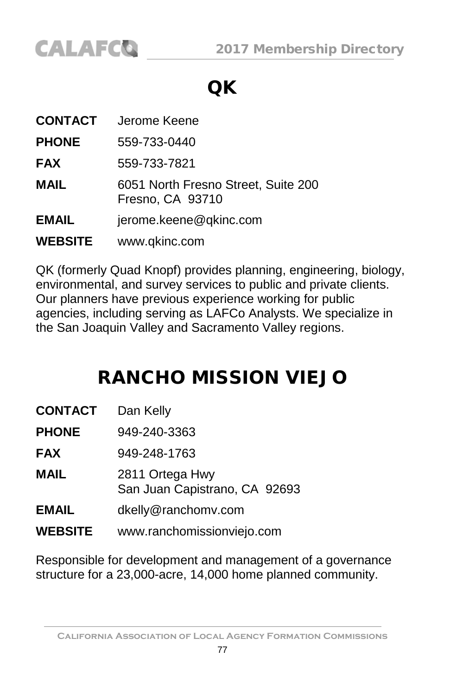

## QK

| CONTACT        | Jerome Keene                                            |
|----------------|---------------------------------------------------------|
| <b>PHONE</b>   | 559-733-0440                                            |
| <b>FAX</b>     | 559-733-7821                                            |
| <b>MAIL</b>    | 6051 North Fresno Street, Suite 200<br>Fresno, CA 93710 |
| <b>EMAIL</b>   | jerome.keene@qkinc.com                                  |
| <b>WEBSITE</b> | www.qkinc.com                                           |

QK (formerly Quad Knopf) provides planning, engineering, biology, environmental, and survey services to public and private clients. Our planners have previous experience working for public agencies, including serving as LAFCo Analysts. We specialize in the San Joaquin Valley and Sacramento Valley regions.

#### RANCHO MISSION VIEJO

| CONTACT      | Dan Kelly                                        |
|--------------|--------------------------------------------------|
| <b>PHONE</b> | 949-240-3363                                     |
| FAX          | 949-248-1763                                     |
| MAIL         | 2811 Ortega Hwy<br>San Juan Capistrano, CA 92693 |
| EMAIL        | dkelly@ranchomv.com                              |
| WEBSITE      | www.ranchomissionviejo.com                       |

Responsible for development and management of a governance structure for a 23,000-acre, 14,000 home planned community.

**California Association of Local Agency Formation Commissions**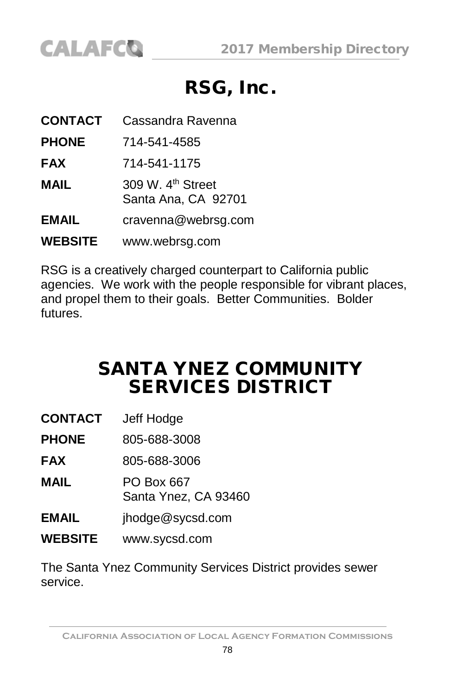

#### RSG, Inc.

| <b>CONTACT</b> | Cassandra Ravenna                                    |
|----------------|------------------------------------------------------|
| <b>PHONE</b>   | 714-541-4585                                         |
| <b>FAX</b>     | 714-541-1175                                         |
| <b>MAIL</b>    | 309 W. 4 <sup>th</sup> Street<br>Santa Ana, CA 92701 |
| <b>EMAIL</b>   | cravenna@webrsg.com                                  |
| <b>WEBSITE</b> | www.webrsg.com                                       |

RSG is a creatively charged counterpart to California public agencies. We work with the people responsible for vibrant places, and propel them to their goals. Better Communities. Bolder futures.

#### SANTA YNEZ COMMUNITY SERVICES DISTRICT

| <b>CONTACT</b> | Jeff Hodge |
|----------------|------------|
|----------------|------------|

**PHONE** 805-688-3008

**FAX** 805-688-3006

**MAIL** PO Box 667 Santa Ynez, CA 93460

- **EMAIL** [jhodge@sycsd.com](mailto:jhodge@sycsd.com)
- **WEBSITE** [www.sycsd.com](http://www.sycsd.com/)

The Santa Ynez Community Services District provides sewer service.

**California Association of Local Agency Formation Commissions**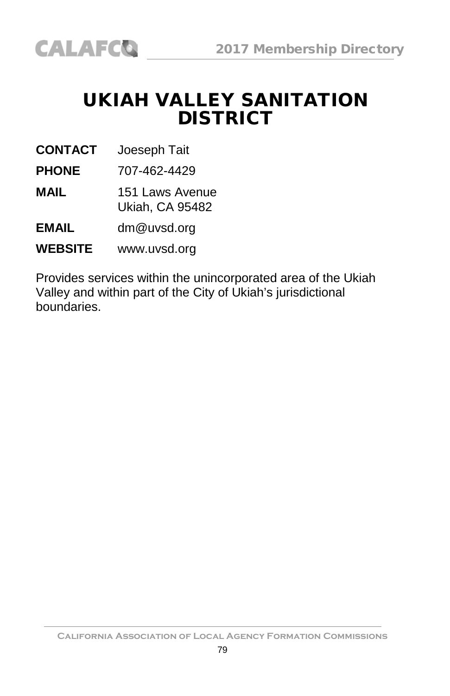#### UKIAH VALLEY SANITATION **DISTRICT**

**CONTACT** Joeseph Tait

**PHONE** 707-462-4429

**MAIL** 151 Laws Avenue Ukiah, CA 95482

**EMAIL** [dm@uvsd.org](mailto:scott@scottbrowne.com)

**WEBSITE** [www.uvsd.org](http://www.scottbrowne.com/)

Provides services within the unincorporated area of the Ukiah Valley and within part of the City of Ukiah's jurisdictional boundaries.